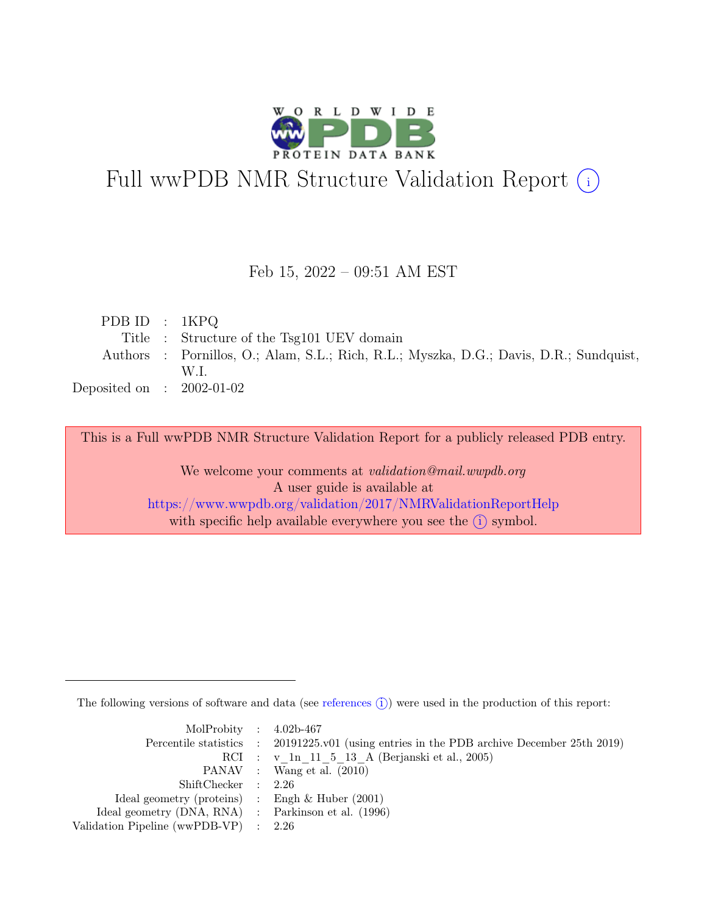

# Full wwPDB NMR Structure Validation Report (i)

#### Feb 15, 2022 – 09:51 AM EST

| PDBID : 1KPQ                |                                                                                        |
|-----------------------------|----------------------------------------------------------------------------------------|
|                             | Title : Structure of the Tsg101 UEV domain                                             |
|                             | Authors : Pornillos, O.; Alam, S.L.; Rich, R.L.; Myszka, D.G.; Davis, D.R.; Sundquist, |
|                             | W.L                                                                                    |
| Deposited on : $2002-01-02$ |                                                                                        |

This is a Full wwPDB NMR Structure Validation Report for a publicly released PDB entry.

We welcome your comments at *validation@mail.wwpdb.org* A user guide is available at <https://www.wwpdb.org/validation/2017/NMRValidationReportHelp> with specific help available everywhere you see the  $(i)$  symbol.

The following versions of software and data (see [references](https://www.wwpdb.org/validation/2017/NMRValidationReportHelp#references)  $\hat{I}$ ) were used in the production of this report:

| MolProbity : $4.02b-467$                            |                                                                                            |
|-----------------------------------------------------|--------------------------------------------------------------------------------------------|
|                                                     | Percentile statistics : 20191225.v01 (using entries in the PDB archive December 25th 2019) |
|                                                     | RCI : v 1n 11 5 13 A (Berjanski et al., 2005)                                              |
|                                                     | PANAV : Wang et al. (2010)                                                                 |
| ShiftChecker : 2.26                                 |                                                                                            |
| Ideal geometry (proteins) : Engh $\&$ Huber (2001)  |                                                                                            |
| Ideal geometry (DNA, RNA) : Parkinson et al. (1996) |                                                                                            |
| Validation Pipeline (wwPDB-VP) $\therefore$ 2.26    |                                                                                            |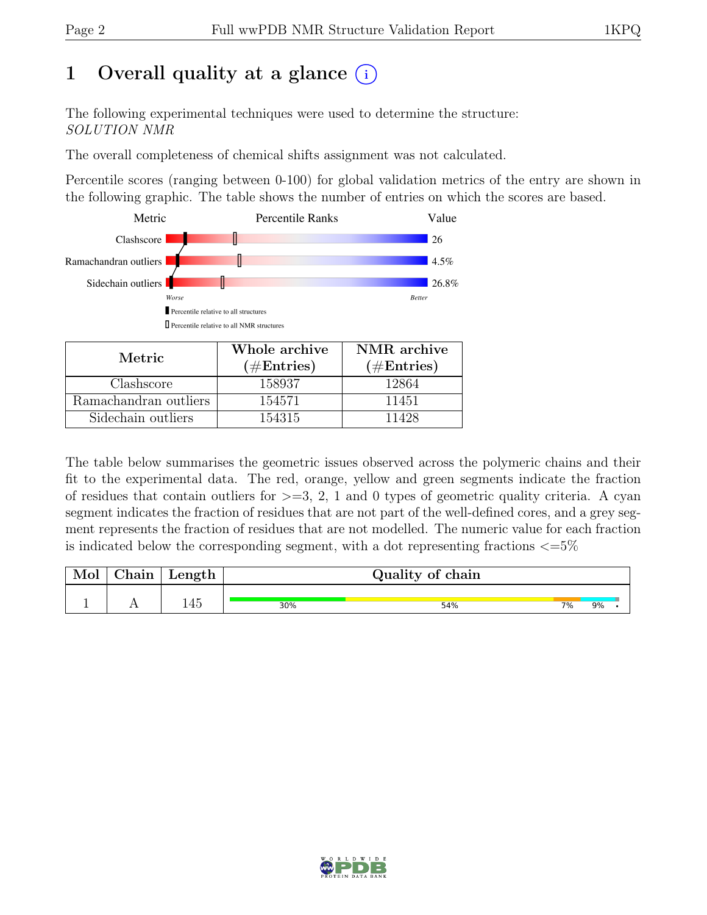## 1 Overall quality at a glance  $(i)$

The following experimental techniques were used to determine the structure: SOLUTION NMR

The overall completeness of chemical shifts assignment was not calculated.

Percentile scores (ranging between 0-100) for global validation metrics of the entry are shown in the following graphic. The table shows the number of entries on which the scores are based.



| Metric.               | Whole archive<br>$(\#Entries)$ | NMR archive<br>$(\#Entries)$ |
|-----------------------|--------------------------------|------------------------------|
| Clashscore            | 158937                         | 12864                        |
| Ramachandran outliers | 154571                         | 11451                        |
| Sidechain outliers    | 154315                         | 11428                        |

The table below summarises the geometric issues observed across the polymeric chains and their fit to the experimental data. The red, orange, yellow and green segments indicate the fraction of residues that contain outliers for  $>=$  3, 2, 1 and 0 types of geometric quality criteria. A cyan segment indicates the fraction of residues that are not part of the well-defined cores, and a grey segment represents the fraction of residues that are not modelled. The numeric value for each fraction is indicated below the corresponding segment, with a dot representing fractions  $\langle=5\%$ 

| Mol | $\gamma$ hain | Length |     | Quality of chain |    |    |  |
|-----|---------------|--------|-----|------------------|----|----|--|
|     |               |        |     |                  |    |    |  |
|     |               | 145    | 30% | 54%              | 7% | 9% |  |

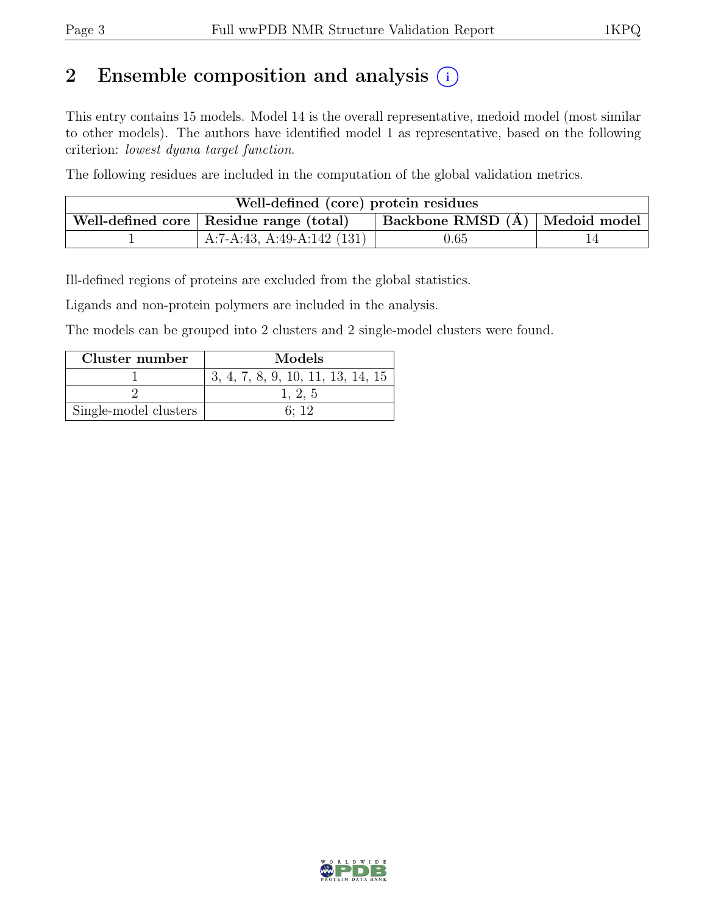## 2 Ensemble composition and analysis  $(i)$

This entry contains 15 models. Model 14 is the overall representative, medoid model (most similar to other models). The authors have identified model 1 as representative, based on the following criterion: lowest dyana target function.

The following residues are included in the computation of the global validation metrics.

| Well-defined (core) protein residues                                                      |                              |            |  |  |  |
|-------------------------------------------------------------------------------------------|------------------------------|------------|--|--|--|
| $\vert$ Backbone RMSD $(A)$   Medoid model  <br>Well-defined core   Residue range (total) |                              |            |  |  |  |
|                                                                                           | A:7-A:43, A:49-A:142 $(131)$ | $\rm 0.65$ |  |  |  |

Ill-defined regions of proteins are excluded from the global statistics.

Ligands and non-protein polymers are included in the analysis.

The models can be grouped into 2 clusters and 2 single-model clusters were found.

| Cluster number        | Models                            |
|-----------------------|-----------------------------------|
|                       | 3, 4, 7, 8, 9, 10, 11, 13, 14, 15 |
|                       | 1, 2, 5                           |
| Single-model clusters | 6. 12                             |

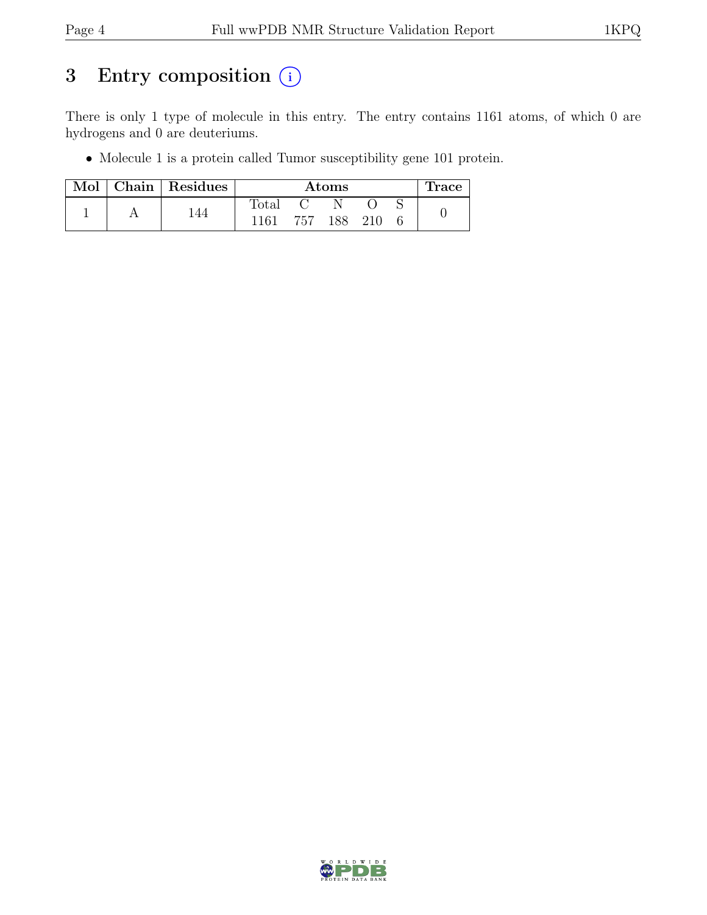## 3 Entry composition  $(i)$

There is only 1 type of molecule in this entry. The entry contains 1161 atoms, of which 0 are hydrogens and 0 are deuteriums.

• Molecule 1 is a protein called Tumor susceptibility gene 101 protein.

| Mol |     | Chain   Residues | Atoms          |     |     |  |  | <b>Trace</b> |
|-----|-----|------------------|----------------|-----|-----|--|--|--------------|
|     |     |                  | $_{\rm Total}$ |     |     |  |  |              |
|     | -44 | 1161             | 757            | 188 | 210 |  |  |              |

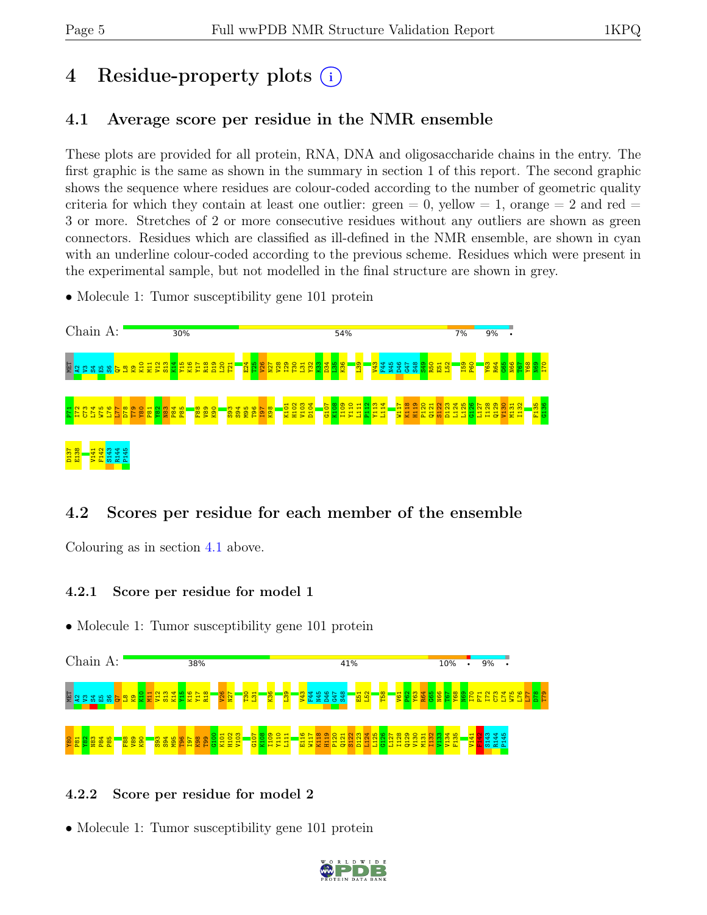# 4 Residue-property plots (i)

### <span id="page-4-0"></span>4.1 Average score per residue in the NMR ensemble

These plots are provided for all protein, RNA, DNA and oligosaccharide chains in the entry. The first graphic is the same as shown in the summary in section 1 of this report. The second graphic shows the sequence where residues are colour-coded according to the number of geometric quality criteria for which they contain at least one outlier:  $green = 0$ ,  $yellow = 1$ ,  $orange = 2$  and  $red =$ 3 or more. Stretches of 2 or more consecutive residues without any outliers are shown as green connectors. Residues which are classified as ill-defined in the NMR ensemble, are shown in cyan with an underline colour-coded according to the previous scheme. Residues which were present in the experimental sample, but not modelled in the final structure are shown in grey.

• Molecule 1: Tumor susceptibility gene 101 protein



### 4.2 Scores per residue for each member of the ensemble

Colouring as in section [4.1](#page-4-0) above.

#### 4.2.1 Score per residue for model 1

• Molecule 1: Tumor susceptibility gene 101 protein



#### 4.2.2 Score per residue for model 2

• Molecule 1: Tumor susceptibility gene 101 protein

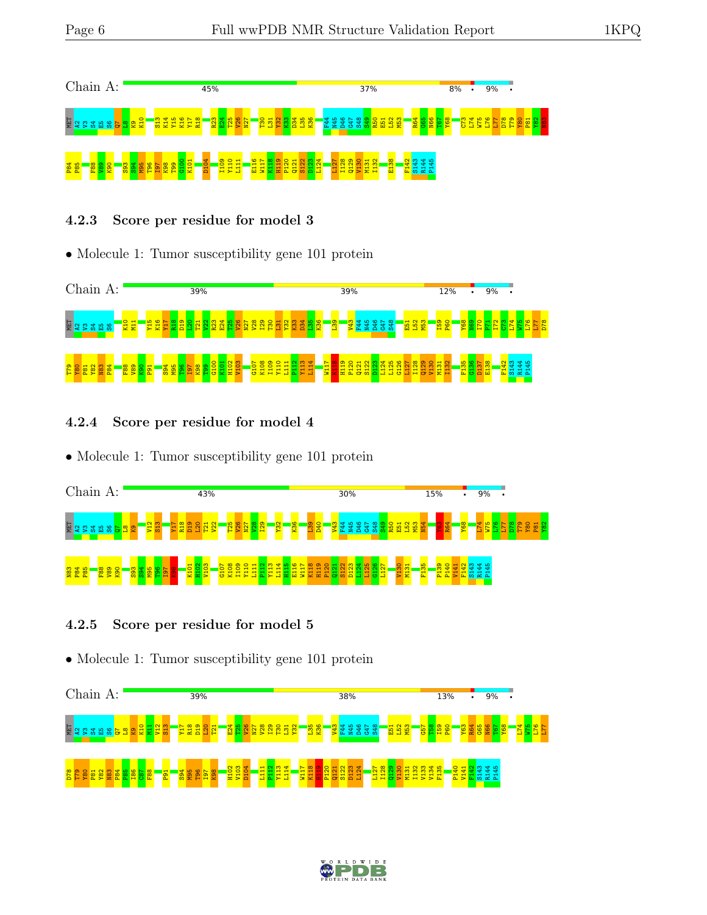

#### 4.2.3 Score per residue for model 3

• Molecule 1: Tumor susceptibility gene 101 protein



4.2.4 Score per residue for model 4

• Molecule 1: Tumor susceptibility gene 101 protein



#### 4.2.5 Score per residue for model 5

• Molecule 1: Tumor susceptibility gene 101 protein



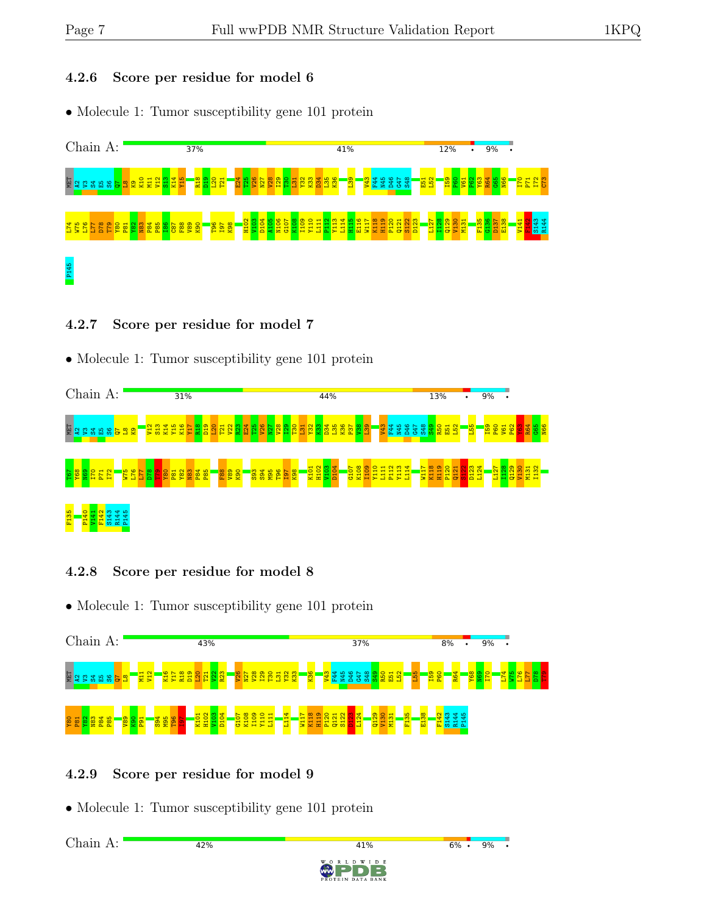#### 4.2.6 Score per residue for model 6

• Molecule 1: Tumor susceptibility gene 101 protein



#### 4.2.7 Score per residue for model 7

• Molecule 1: Tumor susceptibility gene 101 protein



#### 4.2.8 Score per residue for model 8

• Molecule 1: Tumor susceptibility gene 101 protein



#### 4.2.9 Score per residue for model 9

• Molecule 1: Tumor susceptibility gene 101 protein

42%

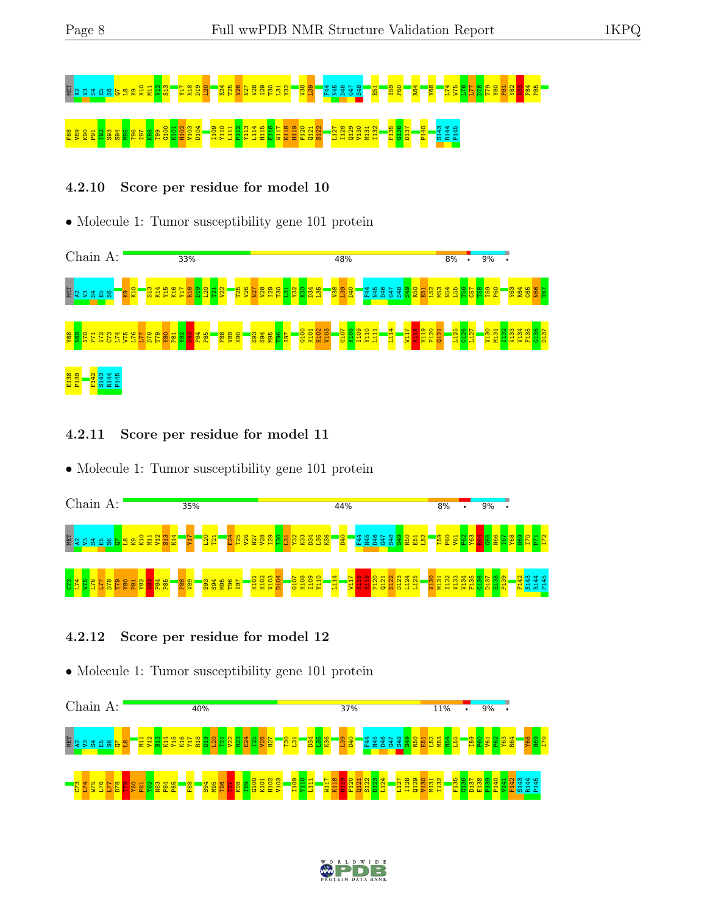

#### 4.2.10 Score per residue for model 10

• Molecule 1: Tumor susceptibility gene 101 protein



#### 4.2.11 Score per residue for model 11

• Molecule 1: Tumor susceptibility gene 101 protein



#### 4.2.12 Score per residue for model 12

• Molecule 1: Tumor susceptibility gene 101 protein



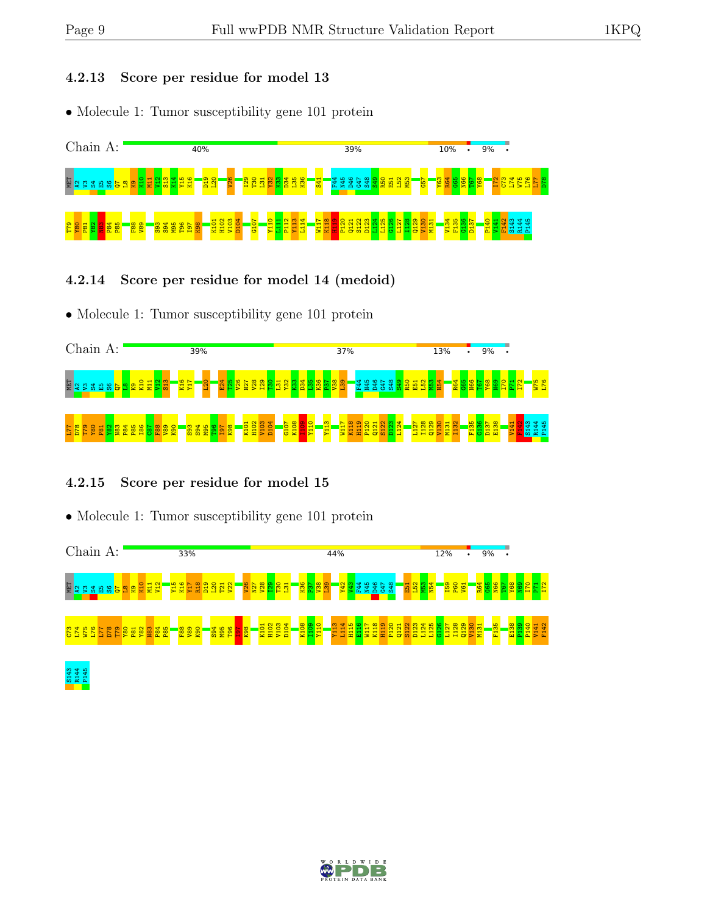#### 4.2.13 Score per residue for model 13

• Molecule 1: Tumor susceptibility gene 101 protein



#### 4.2.14 Score per residue for model 14 (medoid)

• Molecule 1: Tumor susceptibility gene 101 protein



#### 4.2.15 Score per residue for model 15

• Molecule 1: Tumor susceptibility gene 101 protein



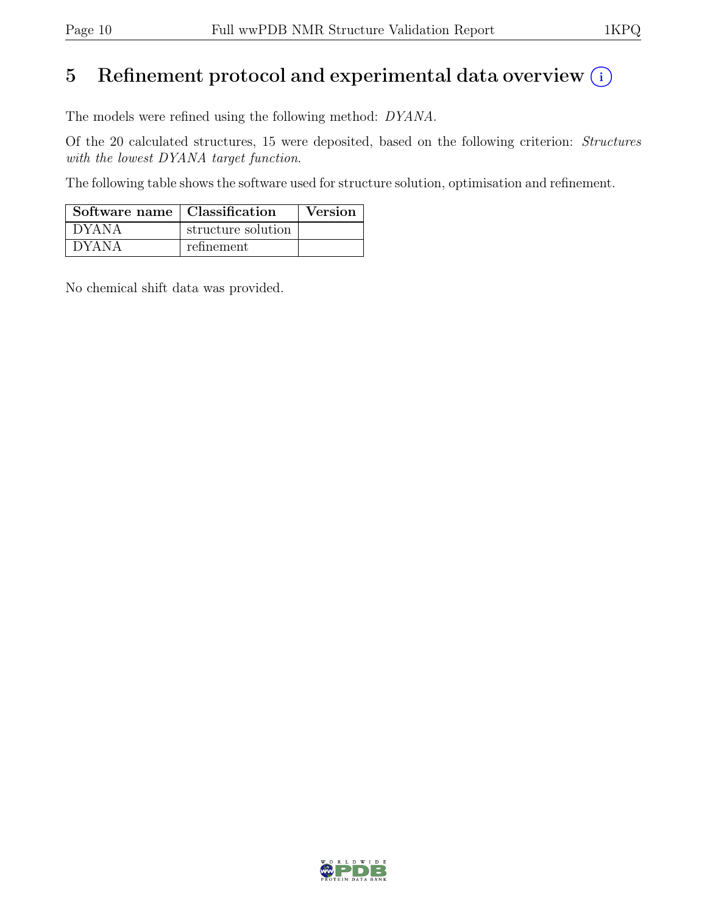## 5 Refinement protocol and experimental data overview  $(i)$

The models were refined using the following method: DYANA.

Of the 20 calculated structures, 15 were deposited, based on the following criterion: Structures with the lowest DYANA target function.

The following table shows the software used for structure solution, optimisation and refinement.

| Software name   Classification |                    | Version |
|--------------------------------|--------------------|---------|
| ' DYANA                        | structure solution |         |
| <b>DYANA</b>                   | refinement         |         |

No chemical shift data was provided.

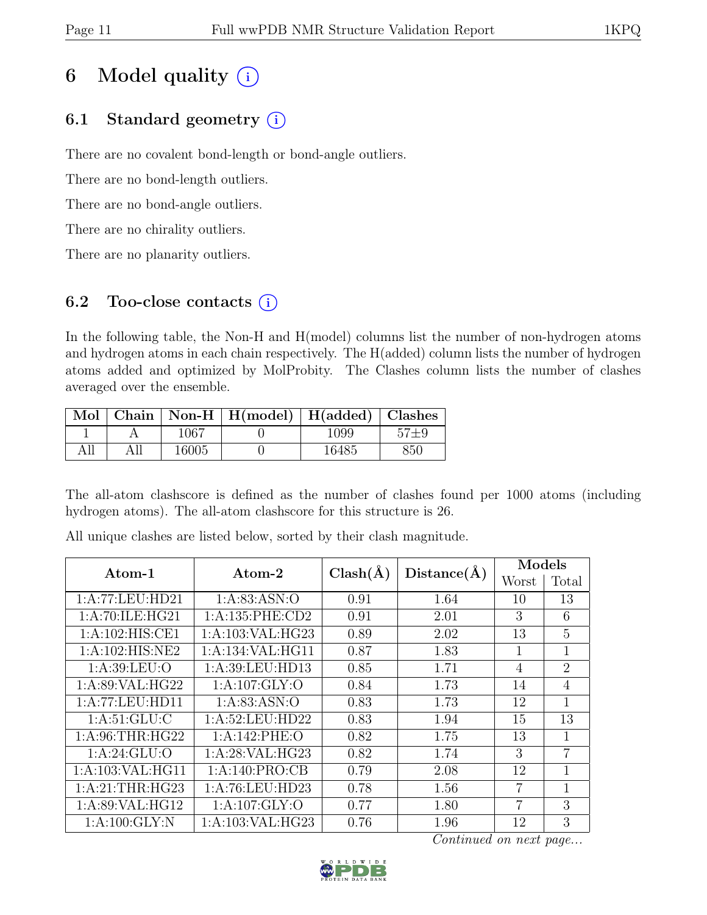## 6 Model quality  $(i)$

## 6.1 Standard geometry  $(i)$

There are no covalent bond-length or bond-angle outliers.

There are no bond-length outliers.

There are no bond-angle outliers.

There are no chirality outliers.

There are no planarity outliers.

### 6.2 Too-close contacts  $(i)$

In the following table, the Non-H and H(model) columns list the number of non-hydrogen atoms and hydrogen atoms in each chain respectively. The H(added) column lists the number of hydrogen atoms added and optimized by MolProbity. The Clashes column lists the number of clashes averaged over the ensemble.

|  |       | Mol   Chain   Non-H   H(model)   H(added)   Clashes |       |     |
|--|-------|-----------------------------------------------------|-------|-----|
|  | 1067  |                                                     | 1099  |     |
|  | 16005 |                                                     | 16485 | 850 |

The all-atom clashscore is defined as the number of clashes found per 1000 atoms (including hydrogen atoms). The all-atom clashscore for this structure is 26.

| Atom-1             | Atom-2              | $Clash(\AA)$ | Distance(A) | Models |                |  |
|--------------------|---------------------|--------------|-------------|--------|----------------|--|
|                    |                     |              |             | Worst  | Total          |  |
| 1:A:77:LEU:HD21    | 1: A:83: ASN:O      | 0.91         | 1.64        | 10     | 13             |  |
| 1:A:70:ILE:HG21    | 1: A: 135: PHE: CD2 | 0.91         | 2.01        | 3      | 6              |  |
| 1: A:102: HIS: CE1 | 1:A:103:VAL:HG23    | 0.89         | 2.02        | 13     | 5              |  |
| 1:A:102:HIS:NE2    | 1:A:134:VAL:HG11    | 0.87         | 1.83        | 1      | 1              |  |
| 1: A:39: LEU:O     | 1:A:39:LEU:HD13     | 0.85         | 1.71        | 4      | $\overline{2}$ |  |
| 1: A:89: VAL: HG22 | 1: A: 107: GLY: O   | 0.84         | 1.73        | 14     | $\overline{4}$ |  |
| 1:A:77:LEU:HD11    | 1: A:83: ASN:O      | 0.83         | 1.73        | 12     | $\mathbf{1}$   |  |
| 1: A:51: GLU: C    | 1:A:52:LEU:HD22     | 0.83         | 1.94        | 15     | 13             |  |
| 1: A:96:THR:HG22   | 1:A:142:PHE:O       | 0.82         | 1.75        | 13     | 1              |  |
| 1: A:24: GLU:O     | 1:A:28:VAL:HG23     | 0.82         | 1.74        | 3      | $\overline{7}$ |  |
| 1:A:103:VAL:HG11   | 1:A:140:PRO:CB      | 0.79         | 2.08        | 12     | 1              |  |
| 1: A:21:THR:HG23   | 1:A:76:LEU:HD23     | 0.78         | 1.56        | 7      | $\mathbf{1}$   |  |
| 1:A:89:VAL:HG12    | 1: A: 107: GLY: O   | 0.77         | 1.80        | 7      | 3              |  |
| 1: A:100: GLY:N    | 1: A:103: VAL: HG23 | 0.76         | 1.96        | 12     | 3              |  |

All unique clashes are listed below, sorted by their clash magnitude.

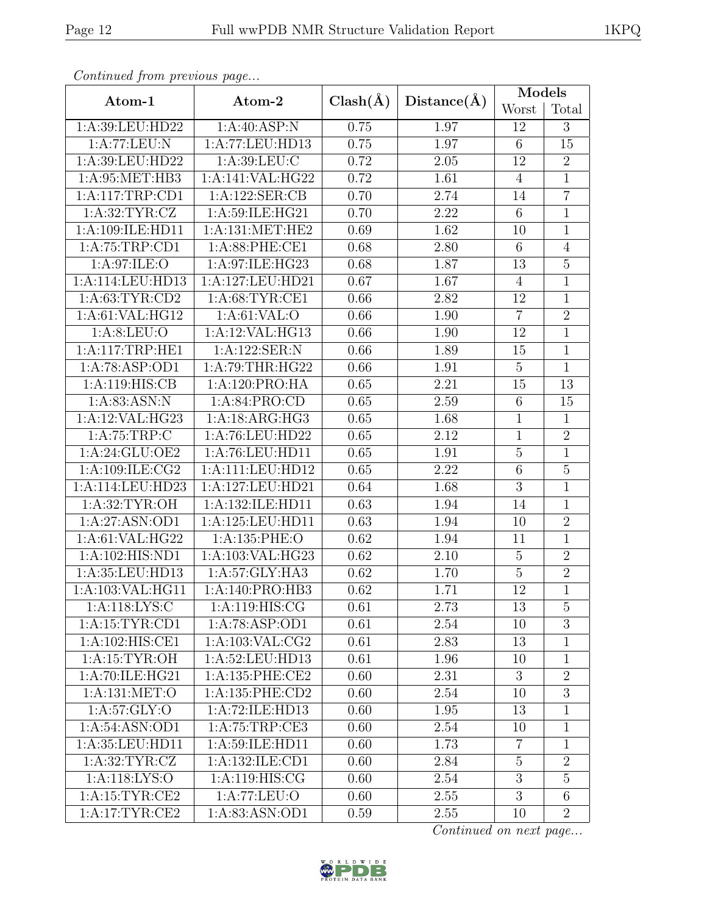|--|

| Continued from previous page |                     |              |             | <b>Models</b>    |                 |  |
|------------------------------|---------------------|--------------|-------------|------------------|-----------------|--|
| Atom-1                       | Atom-2              | $Clash(\AA)$ | Distance(A) | Worst            | Total           |  |
| 1:A:39:LEU:HD22              | 1:A:40:ASP:N        | 0.75         | 1.97        | 12               | 3               |  |
| 1:A:77:LEU:N                 | 1:A:77:LEU:HD13     | 0.75         | 1.97        | $6\phantom{.}6$  | 15              |  |
| 1:A:39:LEU:HD22              | 1: A:39: LEU: C     | 0.72         | 2.05        | 12               | $\overline{2}$  |  |
| 1: A:95:MET:HB3              | 1:A:141:VAL:HG22    | 0.72         | 1.61        | $\overline{4}$   | $\overline{1}$  |  |
| 1:A:117:TRP:CD1              | 1:A:122:SER:CB      | 0.70         | 2.74        | 14               | $\overline{7}$  |  |
| 1: A:32:TYR: CZ              | 1:A:59:ILE:HG21     | 0.70         | 2.22        | 6                | $\mathbf{1}$    |  |
| 1:A:109:ILE:HD11             | 1: A: 131: MET: HE2 | 0.69         | 1.62        | 10               | $\mathbf 1$     |  |
| 1:A:75:TRP:CD1               | $1: A:88:$ PHE:CE1  | 0.68         | 2.80        | $\,6$            | $\overline{4}$  |  |
| 1: A:97: ILE: O              | 1:A:97:ILE:HG23     | 0.68         | 1.87        | 13               | $\overline{5}$  |  |
| 1:A:114:LEU:HD13             | 1:A:127:LEU:HD21    | 0.67         | 1.67        | $\overline{4}$   | $\mathbf{1}$    |  |
| 1: A:63:TYR:CD2              | 1: A:68:TYR:CE1     | 0.66         | 2.82        | 12               | $\mathbf 1$     |  |
| 1:A:61:VAL:HG12              | 1: A:61:VAL:O       | 0.66         | 1.90        | $\overline{7}$   | $\overline{2}$  |  |
| 1: A:8: LEU:O                | 1:A:12:VAL:HG13     | 0.66         | 1.90        | 12               | $\mathbf{1}$    |  |
| 1:A:117:TRP:HE1              | 1:A:122:SER:N       | 0.66         | 1.89        | 15               | $\mathbf{1}$    |  |
| 1:A:78:ASP:OD1               | 1: A:79:THR:HG22    | 0.66         | 1.91        | $\overline{5}$   | $\mathbf{1}$    |  |
| 1:A:119:HIS:CB               | 1:A:120:PRO:HA      | 0.65         | 2.21        | 15               | $\overline{13}$ |  |
| 1: A:83: ASN: N              | 1: A:84: PRO:CD     | 0.65         | 2.59        | $\,6$            | 15              |  |
| 1:A:12:VAL:HG23              | 1:A:18:ARG:HG3      | 0.65         | 1.68        | $\mathbf{1}$     | $\mathbf{1}$    |  |
| 1: A:75:TRP:C                | 1:A:76:LEU:HD22     | 0.65         | 2.12        | $\mathbf 1$      | $\overline{2}$  |  |
| 1:A:24:GLU:OE2               | 1:A:76:LEU:HD11     | 0.65         | 1.91        | $\mathbf 5$      | $\mathbf 1$     |  |
| 1:A:109:ILE:CG2              | 1:A:111:LEU:HD12    | 0.65         | 2.22        | $\,6$            | $\overline{5}$  |  |
| 1:A:114:LEU:HD23             | 1:A:127:LEU:HD21    | 0.64         | 1.68        | 3                | $\mathbf{1}$    |  |
| 1: A:32:TYR:OH               | 1:A:132:ILE:HD11    | 0.63         | 1.94        | 14               | $\overline{1}$  |  |
| 1:A:27:ASN:OD1               | 1:A:125:LEU:HD11    | 0.63         | 1.94        | 10               | $\overline{2}$  |  |
| 1:A:61:VAL:HG22              | 1:A:135:PHE:O       | 0.62         | 1.94        | 11               | $\mathbf{1}$    |  |
| 1:A:102:HIS:ND1              | 1:A:103:VAL:HG23    | 0.62         | 2.10        | $\overline{5}$   | $\overline{2}$  |  |
| 1:A:35:LEU:HD13              | 1:A:57:GLY:HA3      | 0.62         | 1.70        | $\overline{5}$   | $\overline{2}$  |  |
| 1:A:103:VAL:HG11             | 1:A:140:PRO:HB3     | 0.62         | 1.71        | 12               | $\mathbf{1}$    |  |
| 1: A:118: LYS:C              | 1: A: 119: HIS: CG  | 0.61         | 2.73        | 13               | $\overline{5}$  |  |
| 1:A:15:TYR:CD1               | 1:A:78:ASP:OD1      | 0.61         | 2.54        | 10               | 3               |  |
| 1:A:102:HIS:CE1              | 1: A: 103: VAL: CG2 | 0.61         | 2.83        | 13               | $\mathbf{1}$    |  |
| 1: A:15: TYR:OH              | 1:A:52:LEU:HD13     | 0.61         | 1.96        | 10               | $\mathbf{1}$    |  |
| 1:A:70:ILE:HG21              | 1:A:135:PHE:CE2     | 0.60         | 2.31        | 3                | $\overline{2}$  |  |
| 1: A: 131: MET:O             | 1: A: 135: PHE: CD2 | 0.60         | 2.54        | 10               | 3               |  |
| 1: A:57: GLY:O               | 1:A:72:ILE:HD13     | 0.60         | 1.95        | 13               | $\mathbf 1$     |  |
| 1:A:54:ASN:OD1               | 1:A:75:TRP:CE3      | 0.60         | 2.54        | 10               | $\mathbf{1}$    |  |
| 1:A:35:LEU:HD11              | 1: A:59: ILE: HD11  | 0.60         | 1.73        | $\overline{7}$   | $\mathbf{1}$    |  |
| 1: A:32:TYR: CZ              | 1:A:132:ILE:CD1     | 0.60         | 2.84        | $\overline{5}$   | $\overline{2}$  |  |
| 1: A:118: LYS:O              | 1: A:119: HIS: CG   | 0.60         | 2.54        | $\boldsymbol{3}$ | $\overline{5}$  |  |
| 1:A:15:TYR:CE2               | 1:A:77:LEU:O        | 0.60         | 2.55        | $\overline{3}$   | $\,6$           |  |
| 1:A:17:TYR:CE2               | 1:A:83:ASN:OD1      | 0.59         | 2.55        | 10               | $\overline{2}$  |  |

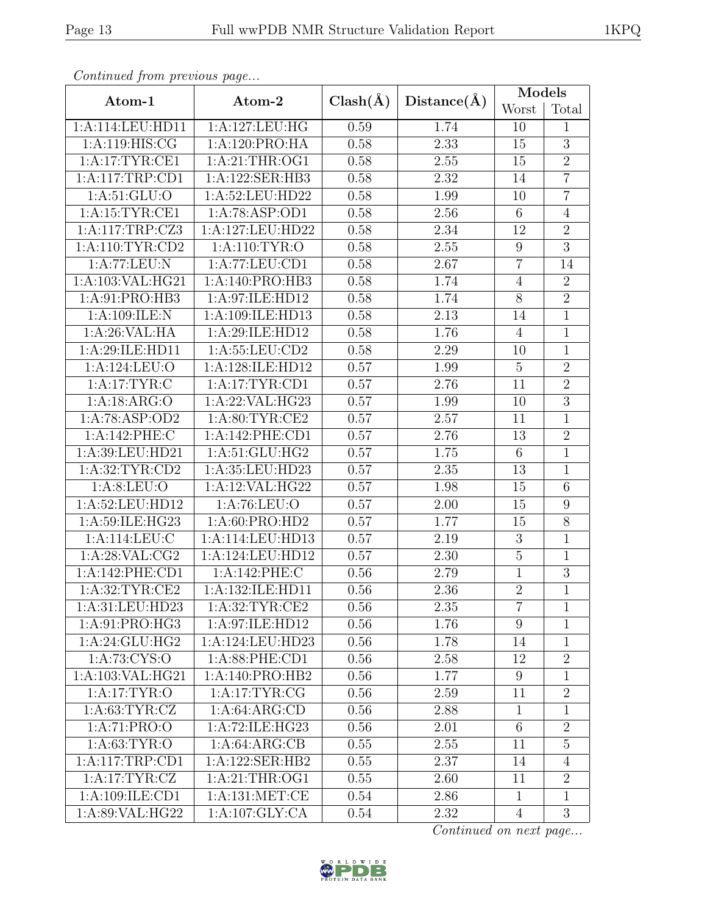|--|

| Continued from previous page |                    |              |                   | <b>Models</b>    |                  |
|------------------------------|--------------------|--------------|-------------------|------------------|------------------|
| Atom-1                       | Atom-2             | $Clash(\AA)$ | Distance(A)       | Worst            | Total            |
| 1:A:114:LEU:HD11             | 1:A:127:LEU:HG     | 0.59         | 1.74              | 10               | $\mathbf{1}$     |
| 1: A:119: HIS: CG            | 1:A:120:PRO:HA     | 0.58         | 2.33              | 15               | $\overline{3}$   |
| 1:A:17:TYR:CE1               | 1: A:21:THR:OG1    | 0.58         | 2.55              | 15               | $\overline{2}$   |
| 1:A:117:TRP:CD1              | 1:A:122:SER:HB3    | 0.58         | 2.32              | 14               | $\overline{7}$   |
| 1: A:51: GLU:O               | 1:A:52:LEU:HD22    | 0.58         | 1.99              | 10               | $\overline{7}$   |
| 1: A:15:TYR:CE1              | 1:A:78:ASP:OD1     | 0.58         | 2.56              | $\overline{6}$   | $\overline{4}$   |
| 1:A:117:TRP:CZ3              | 1:A:127:LEU:HD22   | 0.58         | 2.34              | 12               | $\sqrt{2}$       |
| 1: A:110: TYR: CD2           | 1: A:110: TYR:O    | 0.58         | 2.55              | $\boldsymbol{9}$ | $\overline{3}$   |
| 1:A:77:LEU:N                 | 1:A:77:LEU:CD1     | 0.58         | 2.67              | $\overline{7}$   | 14               |
| 1:A:103:VAL:HG21             | 1:A:140:PRO:HB3    | 0.58         | 1.74              | $\overline{4}$   | $\overline{2}$   |
| 1:A:91:PRO:HB3               | 1:A:97:ILE:HD12    | 0.58         | 1.74              | $8\,$            | $\overline{2}$   |
| 1:A:109:ILE:N                | 1:A:109:ILE:HD13   | 0.58         | 2.13              | 14               | $\overline{1}$   |
| 1:A:26:VAL:HA                | 1:A:29:ILE:HD12    | 0.58         | 1.76              | $\overline{4}$   | $\mathbf{1}$     |
| 1:A:29:ILE:HD11              | 1: A: 55: LEU: CD2 | 0.58         | 2.29              | 10               | $\overline{1}$   |
| 1:A:124:LEU:O                | 1:A:128:ILE:HD12   | 0.57         | 1.99              | $\overline{5}$   | $\overline{2}$   |
| 1: A:17: TYR: C              | 1:A:17:TYR:CD1     | 0.57         | 2.76              | 11               | $\overline{2}$   |
| 1:A:18:ARG:O                 | 1:A:22:VAL:HG23    | 0.57         | 1.99              | 10               | $\overline{3}$   |
| 1:A:78:ASP:OD2               | 1: A:80: TYR: CE2  | 0.57         | 2.57              | 11               | $\mathbf 1$      |
| 1:A:142:PHE:C                | 1:A:142:PHE:CD1    | 0.57         | 2.76              | 13               | $\overline{2}$   |
| 1:A:39:LEU:HD21              | 1:A:51:GLU:HG2     | 0.57         | 1.75              | $6\,$            | $\mathbf{1}$     |
| 1: A:32: TYR: CD2            | 1:A:35:LEU:HD23    | 0.57         | 2.35              | 13               | $\mathbf{1}$     |
| 1: A:8: LEU:O                | 1:A:12:VAL:HG22    | 0.57         | 1.98              | 15               | $6\phantom{.}6$  |
| 1:A:52:LEU:HD12              | 1: A:76: LEU:O     | 0.57         | $\overline{2.00}$ | 15               | $\overline{9}$   |
| 1:A:59:ILE:HG23              | 1: A:60: PRO:HD2   | 0.57         | 1.77              | 15               | $8\,$            |
| 1:A:114:LEU:C                | 1:A:114:LEU:HD13   | 0.57         | 2.19              | $\overline{3}$   | $\mathbf{1}$     |
| 1:A:28:VAL:CG2               | 1:A:124:LEU:HD12   | 0.57         | 2.30              | $\overline{5}$   | $\mathbf{1}$     |
| 1:A:142:PHE:CD1              | 1:A:142:PHE:C      | 0.56         | 2.79              | $\mathbf{1}$     | $\overline{3}$   |
| 1:A:32:TYR:CE2               | 1:A:132:ILE:HD11   | 0.56         | 2.36              | $\overline{2}$   | $\mathbf{1}$     |
| 1:A:31:LEU:HD23              | 1: A:32:TYR:CE2    | 0.56         | 2.35              | $\overline{7}$   | $\mathbf{1}$     |
| 1:A:91:PRO:HG3               | 1:A:97:ILE:HD12    | 0.56         | 1.76              | 9                | 1                |
| 1:A:24:GLU:HG2               | 1:A:124:LEU:HD23   | 0.56         | 1.78              | 14               | $\mathbf{1}$     |
| 1: A:73: CYS:O               | 1:A:88:PHE:CD1     | 0.56         | 2.58              | 12               | $\overline{2}$   |
| 1:A:103:VAL:HG21             | 1:A:140:PRO:HB2    | 0.56         | 1.77              | 9                | $\mathbf{1}$     |
| 1: A:17: TYR:O               | 1: A:17: TYR: CG   | 0.56         | 2.59              | 11               | $\boldsymbol{2}$ |
| 1: A:63:TYR:CZ               | 1: A:64: ARG:CD    | 0.56         | 2.88              | $\mathbf{1}$     | $\mathbf{1}$     |
| 1:A:71:PRO:O                 | 1:A:72:ILE:HG23    | 0.56         | 2.01              | $\overline{6}$   | $\boldsymbol{2}$ |
| 1: A:63:TYR:O                | 1: A:64: ARG:CB    | 0.55         | 2.55              | 11               | $\overline{5}$   |
| 1:A:117:TRP:CD1              | 1:A:122:SER:HB2    | 0.55         | 2.37              | 14               | $\overline{4}$   |
| 1:A:17:TYR:CZ                | 1:A:21:THR:OG1     | 0.55         | 2.60              | 11               | $\overline{2}$   |
| 1:A:109:ILE:CD1              | 1: A: 131: MET: CE | 0.54         | 2.86              | $\mathbf{1}$     | $\mathbf{1}$     |
| 1:A:89:VAL:HG22              | 1:A:107:GLY:CA     | 0.54         | 2.32              | $\overline{4}$   | 3                |

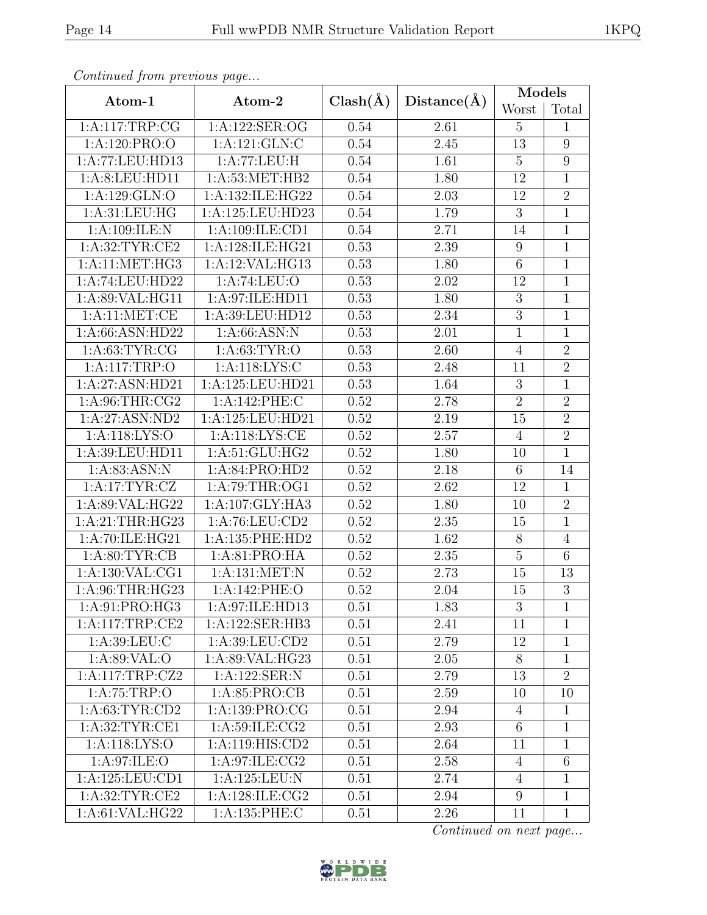|--|

| Continued from previous page |                           |              |             |                 | <b>Models</b>   |
|------------------------------|---------------------------|--------------|-------------|-----------------|-----------------|
| Atom-1                       | Atom-2                    | $Clash(\AA)$ | Distance(A) | Worst           | Total           |
| 1:A:117:TRP:CG               | 1:A:122:SER:OG            | 0.54         | 2.61        | $\overline{5}$  | $\mathbf{1}$    |
| 1:A:120:PRO:O                | 1:A:121:GLN:C             | 0.54         | 2.45        | 13              | $9\phantom{.0}$ |
| 1:A:77:LEU:HD13              | 1:A:77:LEU:H              | 0.54         | 1.61        | $\overline{5}$  | 9               |
| 1:A:8:LEU:HD11               | 1: A:53:MET:HB2           | 0.54         | 1.80        | 12              | $\mathbf{1}$    |
| 1:A:129:GLN:O                | 1:A:132:ILE:HG22          | 0.54         | 2.03        | 12              | $\overline{2}$  |
| 1: A:31:LEU:HG               | 1:A:125:LEU:HD23          | 0.54         | 1.79        | $\overline{3}$  | $\overline{1}$  |
| 1:A:109:ILE:N                | 1:A:109:ILE:CD1           | 0.54         | 2.71        | 14              | $\mathbf 1$     |
| 1: A:32:TYR:CE2              | 1:A:128:ILE:HG21          | 0.53         | 2.39        | 9               | $\mathbf{1}$    |
| $1:A:\overline{11:MET:HG3}$  | 1:A:12:VAL:HG13           | 0.53         | 1.80        | $\,6$           | $\mathbf 1$     |
| 1:A:74:LEU:HD22              | 1:A:74:LEU:O              | 0.53         | 2.02        | 12              | $\mathbf{1}$    |
| 1:A:89:VAL:HG11              | 1:A:97:ILE:HD11           | 0.53         | 1.80        | $\overline{3}$  | $\overline{1}$  |
| 1: A:11: MET:CE              | 1:A:39:LEU:HD12           | 0.53         | 2.34        | $\overline{3}$  | $\mathbf{1}$    |
| 1:A:66:ASN:HD22              | $1:A:66:ASN:\overline{N}$ | 0.53         | 2.01        | $\mathbf{1}$    | $\mathbf{1}$    |
| 1: A:63:TYR:CG               | 1: A:63: TYR:O            | 0.53         | 2.60        | $\overline{4}$  | $\overline{2}$  |
| 1:A:117:TRP:O                | 1: A:118: LYS:C           | 0.53         | 2.48        | 11              | $\overline{2}$  |
| 1:A:27:ASN:HD21              | 1:A:125:LEU:HD21          | 0.53         | 1.64        | $\overline{3}$  | $\overline{1}$  |
| 1: A:96:THR:CG2              | 1:A:142:PHE:C             | 0.52         | 2.78        | $\overline{2}$  | $\overline{2}$  |
| 1:A:27:ASN:ND2               | 1:A:125:LEU:HD21          | 0.52         | 2.19        | 15              | $\overline{2}$  |
| 1: A:118: LYS:O              | 1:A:118:LYS:CE            | 0.52         | 2.57        | $\overline{4}$  | $\overline{2}$  |
| 1:A:39:LEU:HD11              | 1:A:51:GLU:HG2            | 0.52         | 1.80        | 10              | $\overline{1}$  |
| 1: A:83: ASN: N              | 1:A:84:PRO:HD2            | 0.52         | 2.18        | $6\phantom{.}6$ | 14              |
| 1:A:17:TYR:CZ                | 1:A:79:THR:OG1            | 0.52         | 2.62        | 12              | $\mathbf{1}$    |
| 1:A:89:VAL:HG22              | 1:A:107:GLY:HA3           | 0.52         | 1.80        | 10              | $\overline{2}$  |
| 1:A:21:THR:HG23              | 1:A:76:LEU:CD2            | 0.52         | 2.35        | 15              | $\mathbf{1}$    |
| 1:A:70:ILE:HG21              | 1: A: 135: PHE: HD2       | 0.52         | 1.62        | 8               | $\overline{4}$  |
| 1: A:80: TYR: CB             | 1: A:81: PRO:HA           | 0.52         | 2.35        | $\overline{5}$  | $\,$ 6 $\,$     |
| 1:A:130:VAL:CG1              | $1:$ A:131:MET:N          | 0.52         | 2.73        | 15              | 13              |
| 1:A:96:THR:HG23              | 1:A:142:PHE:O             | $0.52\,$     | $2.04\,$    | 15              | $\overline{3}$  |
| 1:A:91:PRO:HG3               | 1:A:97:ILE:HD13           | 0.51         | 1.83        | 3               | $\mathbf{1}$    |
| 1: A:117:TRP:CE2             | 1:A:122:SER:HB3           | 0.51         | 2.41        | 11              | $\mathbf 1$     |
| 1: A:39: LEU: C              | 1:A:39:LEU:CD2            | 0.51         | 2.79        | 12              | $\mathbf{1}$    |
| 1:A:89:VAL:O                 | 1:A:89:VAL:HG23           | 0.51         | 2.05        | 8               | $\mathbf{1}$    |
| 1:A:117:TRP:CZ2              | 1:A:122:SER:N             | 0.51         | 2.79        | 13              | $\overline{2}$  |
| 1: A:75:TRP:O                | 1: A:85: PRO:CB           | 0.51         | 2.59        | 10              | 10              |
| 1: A:63:TYR:CD2              | 1:A:139:PRO:CG            | 0.51         | 2.94        | $\overline{4}$  | $\mathbf{1}$    |
| 1: A:32:TYR:CE1              | 1: A:59: ILE: CG2         | 0.51         | 2.93        | $6\,$           | $\mathbf{1}$    |
| 1:A:118:LYS:O                | 1:A:119:HIS:CD2           | 0.51         | 2.64        | 11              | $\mathbf{1}$    |
| 1: A:97: ILE: O              | 1: A:97: ILE: CG2         | 0.51         | 2.58        | $\overline{4}$  | $\,6$           |
| 1:A:125:LEU:CD1              | 1:A:125:LEU:N             | 0.51         | 2.74        | $\overline{4}$  | $\mathbf{1}$    |
| 1:A:32:TYR:CE2               | 1:A:128:ILE:CG2           | 0.51         | 2.94        | $9\phantom{.0}$ | $\mathbf 1$     |
| 1: A:61: VAL: HG22           | 1:A:135:PHE:C             | 0.51         | 2.26        | 11              | $\mathbf{1}$    |

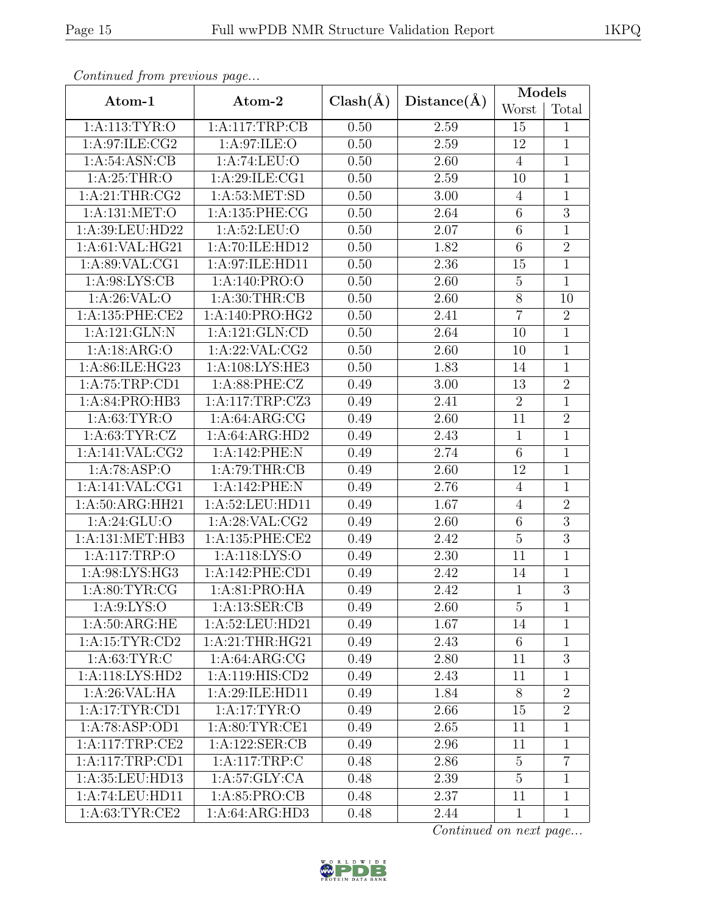|--|

| Continued from previous page |                     |              |             | Models          |                |
|------------------------------|---------------------|--------------|-------------|-----------------|----------------|
| Atom-1                       | Atom-2              | $Clash(\AA)$ | Distance(A) | Worst           | Total          |
| 1: A:113: TYR:O              | 1:A:117:TRP:CB      | 0.50         | 2.59        | 15              | $\mathbf{1}$   |
| 1:A:97:ILE:CG2               | 1:A:97:ILE:O        | 0.50         | 2.59        | 12              | $\mathbf{1}$   |
| 1: A:54: ASN:CB              | 1:A:74:LEU:O        | 0.50         | 2.60        | $\overline{4}$  | $\mathbf{1}$   |
| 1: A:25:THR:O                | 1:A:29:ILE:CG1      | 0.50         | 2.59        | 10              | $\overline{1}$ |
| 1: A:21:THR:CG2              | 1: A:53: MET:SD     | 0.50         | 3.00        | $\overline{4}$  | $\mathbf 1$    |
| 1:A:131:MET:O                | 1:A:135:PHE:CG      | 0.50         | 2.64        | $\overline{6}$  | $\overline{3}$ |
| 1:A:39:LEU:HD22              | 1: A:52:LEU:O       | 0.50         | 2.07        | $\,6$           | $\mathbf 1$    |
| 1:A:61:VAL:HG21              | 1:A:70:ILE:HD12     | 0.50         | 1.82        | $\overline{6}$  | $\overline{2}$ |
| 1:A:89:VAL:CG1               | 1:A:97:ILE:HD11     | 0.50         | 2.36        | 15              | $\mathbf{1}$   |
| 1: A:98: LYS: CB             | 1:A:140:PRO:O       | 0.50         | 2.60        | $\overline{5}$  | $\mathbf{1}$   |
| 1: A:26: VAL:O               | 1: A:30:THR:CB      | 0.50         | 2.60        | $8\,$           | 10             |
| 1: A: 135: PHE: CE2          | 1:A:140:PRO:HG2     | 0.50         | 2.41        | $\overline{7}$  | $\overline{2}$ |
| 1:A:121:GLN:N                | 1:A:121:GLN:CD      | 0.50         | 2.64        | 10              | $\mathbf{1}$   |
| 1:A:18:ARG:O                 | 1: A:22: VAL:CG2    | 0.50         | 2.60        | 10              | $\overline{1}$ |
| 1:A:86:ILE:HG23              | 1: A:108: LYS: HE3  | 0.50         | 1.83        | 14              | $\mathbf{1}$   |
| 1:A:75:TRP:CD1               | 1: A:88: PHE: CZ    | 0.49         | 3.00        | 13              | $\overline{2}$ |
| 1:A:84:PRO:HB3               | 1:A:117:TRP:CZ3     | 0.49         | 2.41        | $\overline{2}$  | $\mathbf{1}$   |
| 1: A:63:TYR:O                | 1: A:64: ARG:CG     | 0.49         | 2.60        | 11              | $\overline{2}$ |
| 1: A:63:TYR:CZ               | 1:A:64:ARG:HD2      | 0.49         | 2.43        | $\mathbf{1}$    | $\mathbf{1}$   |
| 1: A:141: VAL: CG2           | 1:A:142:PHE:N       | 0.49         | 2.74        | $6\phantom{.}6$ | $\mathbf{1}$   |
| 1:A:78:ASP:O                 | 1:A:79:THR:CB       | 0.49         | 2.60        | 12              | $\mathbf{1}$   |
| 1:A:141:VAL:CG1              | 1:A:142:PHE:N       | 0.49         | 2.76        | $\overline{4}$  | $\mathbf{1}$   |
| 1:A:50:ARG:HH21              | 1: A:52: LEU: HD11  | 0.49         | 1.67        | $\overline{4}$  | $\overline{2}$ |
| 1: A:24: GLU:O               | 1:A:28:VAL:CG2      | 0.49         | 2.60        | $\,6$           | $\overline{3}$ |
| 1:A:131:MET:HB3              | 1: A: 135: PHE: CE2 | 0.49         | 2.42        | $\overline{5}$  | $\overline{3}$ |
| 1:A:117:TRP:O                | 1: A:118: LYS:O     | 0.49         | 2.30        | 11              | $\mathbf{1}$   |
| 1:A:98:LYS:HG3               | 1:A:142:PHE:CD1     | 0.49         | 2.42        | 14              | $\mathbf{1}$   |
| 1: A:80: TYR: CG             | 1:A:81:PRO:HA       | 0.49         | 2.42        | $\mathbf{1}$    | $\overline{3}$ |
| 1: A:9: LYS:O                | 1: A: 13: SER: CB   | 0.49         | 2.60        | $\overline{5}$  | $\mathbf{1}$   |
| 1: A:50: ARG: HE             | 1:A:52:LEU:HD21     | 0.49         | 1.67        | 14              | 1              |
| 1: A:15:TYR:CD2              | 1:A:21:THR:HG21     | 0.49         | 2.43        | 6               | $\mathbf{1}$   |
| 1: A:63:TYR:C                | 1: A:64: ARG:CG     | 0.49         | 2.80        | 11              | 3              |
| 1:A:118:LYS:HD2              | 1:A:119:HIS:CD2     | 0.49         | 2.43        | 11              | $\mathbf{1}$   |
| 1:A:26:VAL:HA                | 1:A:29:ILE:HD11     | 0.49         | 1.84        | 8               | $\overline{2}$ |
| 1:A:17:TYR:CD1               | 1:A:17:TYR:O        | 0.49         | 2.66        | 15              | $\overline{2}$ |
| 1:A:78:ASP:OD1               | 1: A:80: TYR:CE1    | 0.49         | 2.65        | 11              | $\mathbf{1}$   |
| 1:A:117:TRP:CE2              | 1: A: 122: SER: CB  | 0.49         | 2.96        | 11              | $\mathbf{1}$   |
| 1:A:117:TRP:CD1              | 1: A:117:TRP:C      | 0.48         | 2.86        | $\overline{5}$  | $\overline{7}$ |
| 1: A:35: LEU:HD13            | 1: A:57: GLY: CA    | 0.48         | 2.39        | $\overline{5}$  | $\mathbf{1}$   |
| 1:A:74:LEU:HD11              | 1: A:85: PRO:CB     | 0.48         | 2.37        | 11              | $\mathbf{1}$   |
| 1: A:63:TYR:CE2              | 1:A:64:ARG:HD3      | 0.48         | 2.44        | $\mathbf{1}$    | $\mathbf{1}$   |

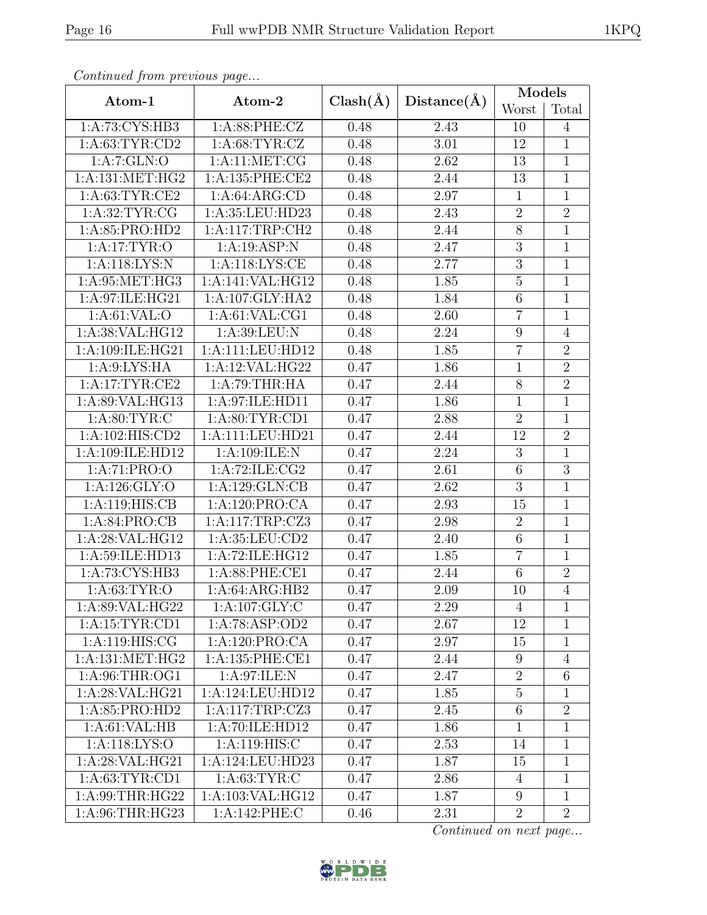|--|

| Continued from previous page |                     |              |             | <b>Models</b>    |                |
|------------------------------|---------------------|--------------|-------------|------------------|----------------|
| Atom-1                       | Atom-2              | $Clash(\AA)$ | Distance(A) | Worst            | Total          |
| 1:A:73:CYS:HB3               | $1: A:88:$ PHE:CZ   | 0.48         | 2.43        | 10               | $\overline{4}$ |
| 1: A:63:TYR:CD2              | 1: A:68:TYR:CZ      | 0.48         | 3.01        | 12               | $\mathbf{1}$   |
| 1:A:7:GLN:O                  | 1: A:11: MET:CG     | 0.48         | 2.62        | 13               | $\mathbf{1}$   |
| 1: A: 131: MET: HG2          | 1:A:135:PHE:CE2     | 0.48         | 2.44        | $\overline{13}$  | $\overline{1}$ |
| 1: A:63: TYR:CE2             | 1:A:64:ARG:CD       | 0.48         | 2.97        | $\mathbf{1}$     | $\mathbf 1$    |
| 1: A:32:TYR:CG               | 1:A:35:LEU:HD23     | 0.48         | 2.43        | $\overline{2}$   | $\overline{2}$ |
| 1:A:85:PRO:HD2               | 1: A:117:TRP:CH2    | 0.48         | 2.44        | $8\,$            | $\mathbf 1$    |
| 1: A:17: TYR:O               | 1:A:19:ASP:N        | 0.48         | 2.47        | $\overline{3}$   | $\mathbf{1}$   |
| 1:A:118:LYS:N                | 1:A:118:LYS:CE      | 0.48         | 2.77        | $\overline{3}$   | $\mathbf{1}$   |
| 1:A:95:MET:HG3               | 1:A:141:VAL:HG12    | 0.48         | 1.85        | $\overline{5}$   | $\mathbf{1}$   |
| 1:A:97:ILE:HG21              | 1:A:107:GLY:HA2     | 0.48         | 1.84        | $\,6$            | $\mathbf 1$    |
| 1: A:61:VAL:O                | 1: A:61: VAL:CG1    | 0.48         | 2.60        | $\overline{7}$   | $\overline{1}$ |
| 1:A:38:VAL:HG12              | 1:A:39:LEU:N        | 0.48         | 2.24        | $\boldsymbol{9}$ | $\overline{4}$ |
| 1:A:109:ILE:HG21             | 1:A:111:LEU:HD12    | 0.48         | 1.85        | $\overline{7}$   | $\overline{2}$ |
| 1: A:9: LYS: HA              | 1:A:12:VAL:HG22     | 0.47         | 1.86        | $\mathbf 1$      | $\overline{2}$ |
| 1:A:17:TYR:CE2               | 1:A:79:THR:HA       | 0.47         | 2.44        | 8                | $\overline{2}$ |
| 1:A:89:VAL:HG13              | 1:A:97:ILE:HD11     | 0.47         | 1.86        | $\mathbf{1}$     | $1\,$          |
| 1: A:80: TYR: C              | 1:A:80:TYR:CD1      | 0.47         | 2.88        | $\overline{2}$   | $\mathbf{1}$   |
| 1:A:102:HIS:CD2              | 1:A:111:LEU:HD21    | 0.47         | 2.44        | 12               | $\overline{2}$ |
| 1:A:109:ILE:HD12             | 1:A:109:ILE:N       | 0.47         | 2.24        | 3                | $\mathbf 1$    |
| 1:A:71:PRO:O                 | 1: A:72: ILE: CG2   | 0.47         | 2.61        | $\overline{6}$   | $\overline{3}$ |
| 1:A:126:GLY:O                | 1:A:129:GLN:CB      | 0.47         | 2.62        | 3                | $\mathbf 1$    |
| 1:A:119:HIS:CB               | 1:A:120:PRO:CA      | 0.47         | 2.93        | 15               | $\overline{1}$ |
| 1: A:84: PRO:CB              | 1:A:117:TRP:CZ3     | 0.47         | 2.98        | $\overline{2}$   | $\mathbf 1$    |
| 1: A:28: VAL:HG12            | 1:A:35:LEU:CD2      | 0.47         | 2.40        | $\overline{6}$   | $\mathbf{1}$   |
| 1:A:59:ILE:HD13              | 1:A:72:ILE:HG12     | 0.47         | 1.85        | $\overline{7}$   | $\mathbf{1}$   |
| 1:A:73:CYS:HB3               | 1:A:88:PHE:CE1      | 0.47         | 2.44        | $\,6\,$          | $\overline{2}$ |
| 1: A:63:TYR:O                | 1:A:64:ARG:HB2      | 0.47         | 2.09        | 10               | $\overline{4}$ |
| 1:A:89:VAL:HG22              | 1: A: 107: GLY: C   | 0.47         | 2.29        | 4                | 1              |
| 1:A:15:TYR:CD1               | 1:A:78:ASP:OD2      | 0.47         | 2.67        | 12               | 1              |
| 1: A:119: HIS: CG            | 1:A:120:PRO:CA      | 0.47         | 2.97        | 15               | $\mathbf{1}$   |
| 1: A: 131: MET: HG2          | 1: A: 135: PHE: CE1 | 0.47         | 2.44        | 9                | $\overline{4}$ |
| 1: A:96:THR:OG1              | 1: A:97: ILE:N      | 0.47         | 2.47        | $\overline{2}$   | $\,6$          |
| 1:A:28:VAL:HG21              | 1:A:124:LEU:HD12    | 0.47         | 1.85        | $5\,$            | $\mathbf{1}$   |
| 1:A:85:PRO:HD2               | 1:A:117:TRP:CZ3     | 0.47         | 2.45        | $6\phantom{.}6$  | $\overline{2}$ |
| 1: A:61:VAL:HB               | 1:A:70:ILE:HD12     | 0.47         | 1.86        | $\mathbf{1}$     | $\mathbf{1}$   |
| 1: A:118: LYS:O              | 1: A:119: HIS: C    | 0.47         | 2.53        | 14               | $\mathbf{1}$   |
| 1: A:28: VAL:HG21            | 1:A:124:LEU:HD23    | 0.47         | 1.87        | 15               | $\mathbf{1}$   |
| 1: A:63:TYR:CD1              | 1: A:63:TYR:C       | 0.47         | 2.86        | 4                | $\mathbf{1}$   |
| 1: A:99:THR:HG22             | 1:A:103:VAL:HG12    | 0.47         | 1.87        | $9\phantom{.0}$  | $\mathbf{1}$   |
| 1:A:96:THR:HG23              | 1:A:142:PHE:C       | 0.46         | 2.31        | $\overline{2}$   | $\overline{2}$ |

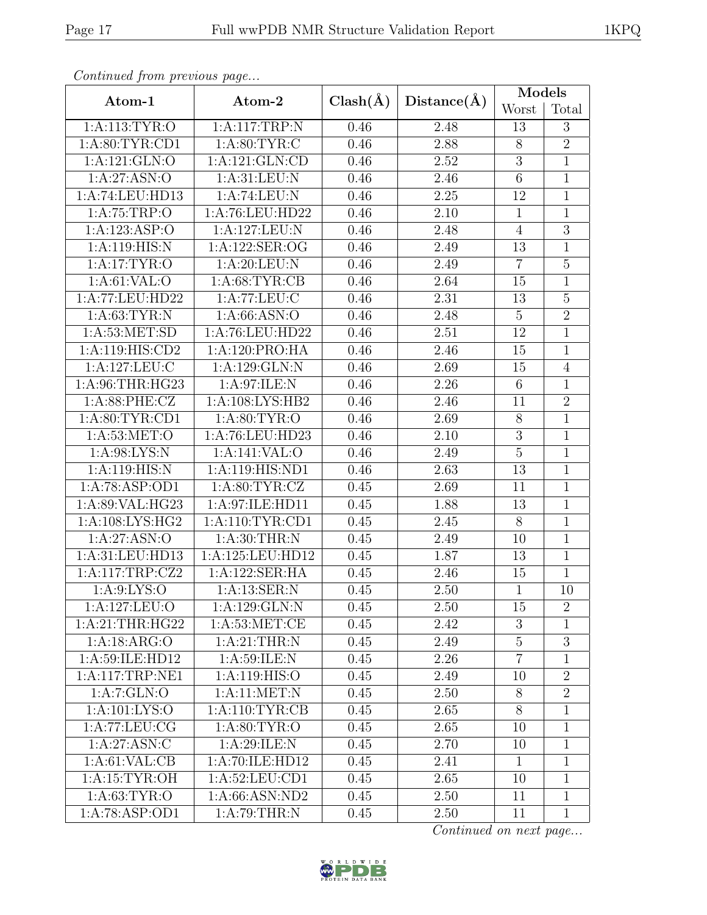|--|

| Continuea from previous page      |                    |              |             | <b>Models</b>   |                |
|-----------------------------------|--------------------|--------------|-------------|-----------------|----------------|
| Atom-1                            | Atom-2             | $Clash(\AA)$ | Distance(A) | Worst           | Total          |
| 1:A:113:TYR:O                     | 1:A:117:TRP:N      | 0.46         | 2.48        | 13              | 3              |
| 1: A:80: TYR:CD1                  | 1: A:80: TYR: C    | 0.46         | 2.88        | $8\,$           | $\overline{2}$ |
| 1:A:121:GLN:O                     | 1:A:121:GLN:CD     | 0.46         | 2.52        | 3               | $1\,$          |
| 1:A:27:ASN:O                      | 1:A:31:LEU:N       | 0.46         | 2.46        | $\overline{6}$  | $\overline{1}$ |
| 1:A:74:LEU:HD13                   | 1:A:74:LEU:N       | 0.46         | 2.25        | 12              | $\mathbf{1}$   |
| 1:A:75:TRP:O                      | 1:A:76:LEU:HD22    | 0.46         | $2.10\,$    | $\mathbf{1}$    | $\overline{1}$ |
| 1:A:123:ASP:O                     | 1:A:127:LEU:N      | 0.46         | 2.48        | $\overline{4}$  | $\overline{3}$ |
| 1:A:119:HIS:N                     | 1:A:122:SER:OG     | 0.46         | 2.49        | 13              | $\mathbf{1}$   |
| 1: A:17: TYR:O                    | 1: A:20:LEU:N      | 0.46         | 2.49        | $\overline{7}$  | $\overline{5}$ |
| 1: A:61:VAL:O                     | 1: A:68:TYR:CB     | 0.46         | 2.64        | 15              | $\mathbf{1}$   |
| 1:A:77:LEU:HD22                   | 1:A:77:LEU:C       | 0.46         | 2.31        | 13              | $\overline{5}$ |
| 1: A:63:TYR:N                     | 1: A:66: ASN:O     | 0.46         | 2.48        | $\overline{5}$  | $\overline{2}$ |
| 1: A:53: MET:SD                   | 1:A:76:LEU:HD22    | 0.46         | 2.51        | 12              | $\mathbf{1}$   |
| 1:A:119:HIS:CD2                   | 1:A:120:PRO:HA     | 0.46         | 2.46        | 15              | $\mathbf{1}$   |
| 1:A:127:LEU:C                     | 1:A:129:GLN:N      | 0.46         | 2.69        | 15              | $\overline{4}$ |
| 1: A:96:THR:HG23                  | 1:A:97:ILE:N       | 0.46         | 2.26        | $6\phantom{.}6$ | $\mathbf{1}$   |
| 1: A:88: PHE: CZ                  | 1:A:108:LYS:HB2    | 0.46         | 2.46        | 11              | $\overline{2}$ |
| 1:A:80:TYR:CD1                    | 1: A:80: TYR:O     | 0.46         | 2.69        | $8\,$           | $\mathbf{1}$   |
| 1: A:53:MET:O                     | 1:A:76:LEU:HD23    | 0.46         | 2.10        | $\overline{3}$  | $\,1$          |
| 1: A:98: LYS:N                    | 1:A:141:VAL:O      | 0.46         | 2.49        | $\overline{5}$  | $\mathbf{1}$   |
| 1:A:119:HIS:N                     | 1: A:119: HIS: ND1 | 0.46         | 2.63        | $\overline{13}$ | $\overline{1}$ |
| 1:A:78:ASP:OD1                    | 1: A:80: TYR: CZ   | 0.45         | 2.69        | 11              | $\mathbf{1}$   |
| 1: A:89: VAL: HG23                | 1: A:97: ILE: HD11 | 0.45         | 1.88        | 13              | $\overline{1}$ |
| 1:A:108:LYS:HG2                   | 1:A:110:TYR:CD1    | 0.45         | 2.45        | $8\,$           | $\overline{1}$ |
| 1:A:27:ASN:O                      | 1: A:30:THR:N      | 0.45         | 2.49        | 10              | $\mathbf{1}$   |
| 1:A:31:LEU:HD13                   | 1:A:125:LEU:HD12   | 0.45         | 1.87        | 13              | $\mathbf{1}$   |
| 1:A:117:TRP:CZ2                   | 1:A:122:SER:HA     | 0.45         | 2.46        | 15              | $\mathbf{1}$   |
| 1: A:9: LYS:O                     | 1:A:13:SER:N       | 0.45         | 2.50        | $\mathbf{1}$    | 10             |
| 1:A:127:LEU:O                     | 1:A:129:GLN:N      | 0.45         | 2.50        | 15              | $\overline{2}$ |
| 1:A:21:THR:HG22                   | 1: A:53:MET:CE     | 0.45         | 2.42        | 3               | $\mathbf{1}$   |
| 1:A:18:ARG:O                      | 1: A:21:THR:N      | 0.45         | 2.49        | $\overline{5}$  | 3              |
| 1:A:59:ILE:HD12                   | 1:A:59:ILE:N       | 0.45         | 2.26        | $\overline{7}$  | $\mathbf{1}$   |
| 1:A:117:TRP:NE1                   | 1:A:119:HIS:O      | 0.45         | 2.49        | 10              | $\overline{2}$ |
| 1:A:7:GLN:O                       | $1:$ A:11:MET:N    | 0.45         | 2.50        | $8\,$           | $\overline{2}$ |
| $1:A:101:\overline{\text{LYS:O}}$ | 1: A: 110: TYR: CB | 0.45         | 2.65        | 8               | $\mathbf{1}$   |
| 1: A:77: LEU: CG                  | 1: A:80: TYR:O     | 0.45         | 2.65        | 10              | $\mathbf{1}$   |
| 1:A:27:ASN:C                      | 1: A:29: ILE:N     | 0.45         | 2.70        | 10              | $\mathbf{1}$   |
| 1: A:61:VAL:CB                    | 1:A:70:ILE:HD12    | 0.45         | 2.41        | $\mathbf{1}$    | $\mathbf{1}$   |
| 1:A:15:TYR:OH                     | 1:A:52:LEU:CD1     | 0.45         | 2.65        | 10              | $\mathbf{1}$   |
| 1: A:63:TYR:O                     | 1:A:66:ASN:ND2     | 0.45         | 2.50        | 11              | $\mathbf{1}$   |
| 1:A:78:ASP:OD1                    | 1: A:79:THR:N      | 0.45         | 2.50        | 11              | $\mathbf{1}$   |

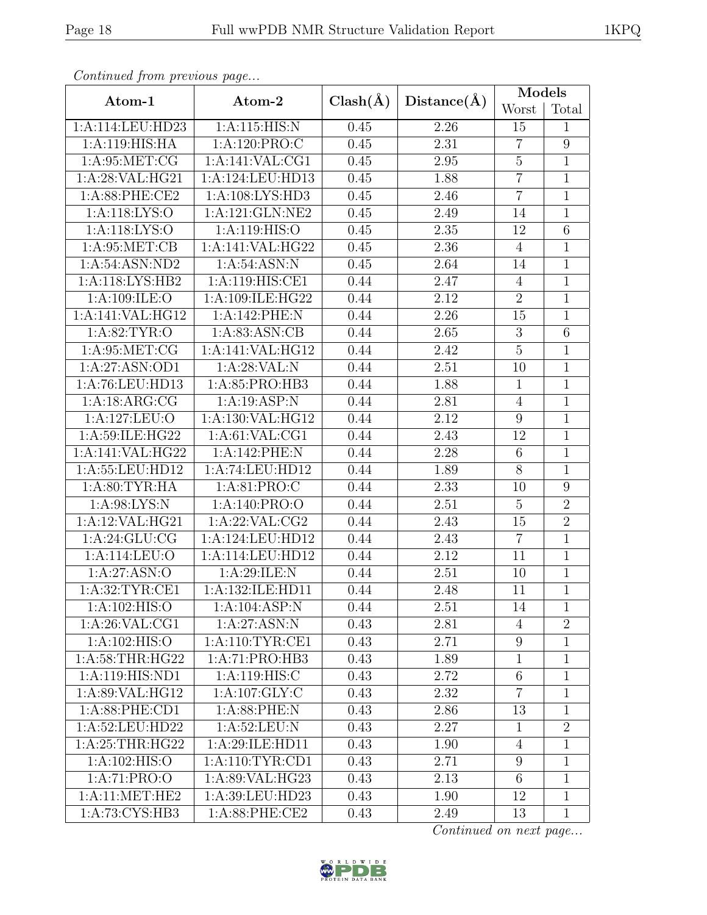|--|--|

| Continuea from previous page |                    |              |             | Models           |                |
|------------------------------|--------------------|--------------|-------------|------------------|----------------|
| Atom-1                       | Atom-2             | $Clash(\AA)$ | Distance(A) | Worst            | Total          |
| 1:A:114:LEU:HD23             | 1:A:115:HIS:N      | 0.45         | 2.26        | 15               | 1              |
| 1:A:119:HIS:HA               | 1: A: 120: PRO: C  | 0.45         | 2.31        | $\overline{7}$   | 9              |
| 1: A:95:MET:CG               | 1:A:141:VAL:CG1    | 0.45         | 2.95        | $\bf 5$          | $\mathbf 1$    |
| 1:A:28:VAL:HG21              | 1:A:124:LEU:HD13   | 0.45         | 1.88        | $\overline{7}$   | $\overline{1}$ |
| 1:A:88:PHE:CE2               | 1: A:108: LYS: HD3 | 0.45         | 2.46        | $\overline{7}$   | $\mathbf{1}$   |
| 1:A:118:LYS:O                | 1:A:121:GLN:NE2    | 0.45         | 2.49        | 14               | $\mathbf{1}$   |
| 1: A:118: LYS:O              | 1:A:119:HIS:O      | 0.45         | 2.35        | 12               | $\,6$          |
| 1: A:95:MET:CB               | 1:A:141:VAL:HG22   | 0.45         | 2.36        | $\overline{4}$   | $\mathbf{1}$   |
| 1:A:54:ASN:ND2               | 1: A:54: ASN: N    | 0.45         | 2.64        | 14               | $\mathbf{1}$   |
| 1:A:118:LYS:HB2              | 1:A:119:HIS:CE1    | 0.44         | 2.47        | $\overline{4}$   | $\mathbf{1}$   |
| 1: A:109: ILE: O             | 1:A:109:ILE:HG22   | 0.44         | 2.12        | $\overline{2}$   | $1\,$          |
| 1:A:141:VAL:HG12             | 1:A:142:PHE:N      | 0.44         | 2.26        | 15               | $\mathbf{1}$   |
| 1: A:82:TYR:O                | 1: A:83: ASN:CB    | 0.44         | 2.65        | 3                | $\sqrt{6}$     |
| 1: A:95:MET:CG               | 1:A:141:VAL:HG12   | 0.44         | 2.42        | $\overline{5}$   | $\mathbf 1$    |
| 1: A:27: ASN:OD1             | 1:A:28:VAL:N       | 0.44         | 2.51        | 10               | $\mathbf{1}$   |
| 1:A:76:LEU:HD13              | 1:A:85:PRO:HB3     | 0.44         | 1.88        | $\mathbf{1}$     | $\mathbf 1$    |
| 1:A:18:ARG:CG                | 1:A:19:ASP:N       | 0.44         | 2.81        | $\overline{4}$   | $\mathbf{1}$   |
| 1:A:127:LEU:O                | 1:A:130:VAL:HG12   | 0.44         | 2.12        | 9                | $\overline{1}$ |
| 1:A:59:ILE:HG22              | 1: A:61: VAL:CG1   | 0.44         | 2.43        | 12               | $\overline{1}$ |
| 1:A:141:VAL:HG22             | 1:A:142:PHE:N      | 0.44         | 2.28        | $6\phantom{.}6$  | $\mathbf 1$    |
| 1:A:55:LEU:HD12              | 1:A:74:LEU:HD12    | 0.44         | 1.89        | $\overline{8}$   | $\mathbf{1}$   |
| 1: A:80: TYR: HA             | 1:A:81:PRO:C       | 0.44         | 2.33        | 10               | 9              |
| 1: A:98: LYS: N              | 1:A:140:PRO:O      | 0.44         | $2.51\,$    | $\overline{5}$   | $\overline{2}$ |
| 1:A:12:VAL:HG21              | 1: A:22: VAL:CG2   | 0.44         | 2.43        | 15               | $\overline{2}$ |
| 1: A:24: GLU:CG              | 1:A:124:LEU:HD12   | 0.44         | 2.43        | $\overline{7}$   | $\mathbf{1}$   |
| 1:A:114:LEU:O                | 1:A:114:LEU:HD12   | 0.44         | 2.12        | 11               | $\mathbf{1}$   |
| 1:A:27:ASN:O                 | 1:A:29:ILE:N       | 0.44         | 2.51        | 10               | $\mathbf{1}$   |
| 1:A:32:TYR:CE1               | 1:A:132:ILE:HD11   | 0.44         | 2.48        | 11               | $\overline{1}$ |
| 1: A:102: HIS:O              | 1:A:104:ASP:N      | 0.44         | 2.51        | 14               | $\mathbf{1}$   |
| 1:A:26:VAL:CG1               | 1:A:27:ASN:N       | 0.43         | 2.81        | 4                | $\overline{2}$ |
| 1: A:102: HIS:O              | 1: A:110: TYR: CE1 | 0.43         | 2.71        | $9\phantom{.}$   | $\mathbf{1}$   |
| 1: A:58:THR:HG22             | 1:A:71:PRO:HB3     | 0.43         | 1.89        | $\mathbf{1}$     | $\mathbf{1}$   |
| 1:A:119:HIS:ND1              | 1:A:119:HIS:C      | 0.43         | 2.72        | $6\phantom{.}6$  | $\mathbf{1}$   |
| 1:A:89:VAL:HG12              | 1:A:107:GLY:C      | 0.43         | 2.32        | $\overline{7}$   | $\mathbf{1}$   |
| 1: A:88: PHE:CD1             | 1: A:88: PHE: N    | 0.43         | 2.86        | 13               | $\mathbf{1}$   |
| 1:A:52:LEU:HD22              | 1: A:52:LEU: N     | 0.43         | 2.27        | $\mathbf{1}$     | $\overline{2}$ |
| 1: A:25:THR:HG22             | 1:A:29:ILE:HD11    | 0.43         | 1.90        | $\overline{4}$   | $\mathbf{1}$   |
| 1: A:102: HIS:O              | 1: A:110: TYR: CD1 | 0.43         | 2.71        | $\boldsymbol{9}$ | $\overline{1}$ |
| 1:A:71:PRO:O                 | 1: A:89: VAL: HG23 | 0.43         | 2.13        | $6\phantom{.}6$  | $\mathbf 1$    |
| 1:A:11:MET:HE2               | 1:A:39:LEU:HD23    | 0.43         | 1.90        | 12               | $\mathbf{1}$   |
| 1:A:73:CYS:HB3               | 1:A:88:PHE:CE2     | 0.43         | 2.49        | 13               | $\mathbf{1}$   |

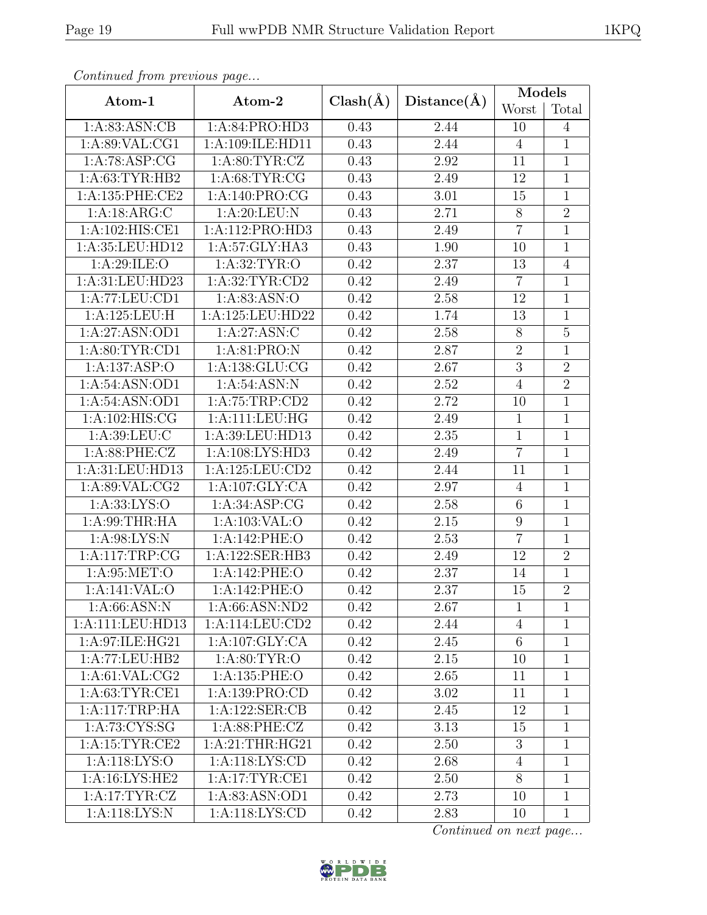|--|

|                     |                     |              |             | <b>Models</b>   |                |
|---------------------|---------------------|--------------|-------------|-----------------|----------------|
| Atom-1              | Atom-2              | $Clash(\AA)$ | Distance(A) | Worst           | Total          |
| 1: A:83: ASN:CB     | 1:A:84:PRO:HD3      | 0.43         | 2.44        | 10              | $\overline{4}$ |
| 1: A:89: VAL:CG1    | 1:A:109:ILE:HD11    | 0.43         | 2.44        | $\overline{4}$  | $\mathbf{1}$   |
| 1:A:78:ASP:CG       | 1: A:80: TYR: CZ    | 0.43         | 2.92        | 11              | $\mathbf{1}$   |
| 1: A:63:TYR:HB2     | 1: A:68: TYR: CG    | 0.43         | 2.49        | 12              | $\overline{1}$ |
| 1: A: 135: PHE: CE2 | 1:A:140:PRO:CG      | 0.43         | 3.01        | 15              | $\mathbf 1$    |
| 1: A: 18: ARG: C    | 1:A:20:LEU:N        | 0.43         | 2.71        | $8\,$           | $\overline{2}$ |
| 1:A:102:HIS:CE1     | 1:A:112:PRO:HD3     | 0.43         | 2.49        | $\overline{7}$  | $\mathbf{1}$   |
| 1:A:35:LEU:HD12     | 1:A:57:GLY:HA3      | 0.43         | 1.90        | 10              | $\mathbf{1}$   |
| 1:A:29:ILE:O        | 1: A:32: TYR:O      | 0.42         | 2.37        | 13              | $\overline{4}$ |
| 1:A:31:LEU:HD23     | 1:A:32:TYR:CD2      | 0.42         | 2.49        | $\overline{7}$  | $\mathbf{1}$   |
| 1:A:77:LEU:CD1      | 1: A:83: ASN:O      | 0.42         | 2.58        | 12              | $\mathbf{1}$   |
| 1:A:125:LEU:H       | 1:A:125:LEU:HD22    | 0.42         | 1.74        | 13              | $\mathbf{1}$   |
| 1:A:27:ASN:OD1      | 1:A:27:ASN:C        | 0.42         | 2.58        | $8\,$           | $\overline{5}$ |
| 1: A:80: TYR:CD1    | 1:A:81:PRO:N        | 0.42         | 2.87        | $\overline{2}$  | $\mathbf{1}$   |
| 1:A:137:ASP:O       | 1: A: 138: GLU: CG  | 0.42         | 2.67        | $\overline{3}$  | $\overline{2}$ |
| 1:A:54:ASN:OD1      | 1:A:54:ASN:N        | 0.42         | 2.52        | $\overline{4}$  | $\overline{2}$ |
| 1:A:54:ASN:OD1      | 1: A:75:TRP:CD2     | 0.42         | 2.72        | 10              | $\mathbf{1}$   |
| 1:A:102:HIS:CG      | 1:A:111:LEU:HG      | 0.42         | 2.49        | $\mathbf{1}$    | $\overline{1}$ |
| 1: A:39: LEU: C     | 1:A:39:LEU:HD13     | 0.42         | 2.35        | $\overline{1}$  | $\overline{1}$ |
| 1: A:88: PHE: CZ    | 1: A: 108: LYS: HD3 | 0.42         | 2.49        | $\overline{7}$  | $\mathbf 1$    |
| 1:A:31:LEU:HD13     | 1:A:125:LEU:CD2     | 0.42         | 2.44        | 11              | $\overline{1}$ |
| 1:A:89:VAL:CG2      | 1:A:107:GLY:CA      | 0.42         | 2.97        | $\overline{4}$  | $\mathbf{1}$   |
| 1: A: 33: LYS: O    | 1:A:34:ASP:CG       | 0.42         | 2.58        | $\overline{6}$  | $\overline{1}$ |
| 1: A:99:THR:HA      | 1: A: 103: VAL: O   | 0.42         | 2.15        | $9\,$           | $\mathbf{1}$   |
| 1: A:98: LYS: N     | 1:A:142:PHE:O       | 0.42         | 2.53        | $\overline{7}$  | $\mathbf{1}$   |
| 1:A:117:TRP:CG      | 1:A:122:SER:HB3     | 0.42         | 2.49        | 12              | $\overline{2}$ |
| 1: A:95:MET:O       | 1:A:142:PHE:O       | 0.42         | 2.37        | 14              | $\mathbf{1}$   |
| 1:A:141:VAL:O       | 1:A:142:PHE:O       | 0.42         | 2.37        | $\overline{15}$ | $\overline{2}$ |
| 1: A:66: ASN: N     | 1:A:66:ASN:ND2      | 0.42         | 2.67        | $\mathbf{1}$    | 1              |
| 1:A:111:LEU:HD13    | 1:A:114:LEU:CD2     | 0.42         | 2.44        | $\overline{4}$  | $\mathbf{1}$   |
| 1:A:97:ILE:HG21     | 1:A:107:GLY:CA      | 0.42         | 2.45        | 6               | $\mathbf{1}$   |
| 1:A:77:LEU:HB2      | 1: A:80: TYR:O      | 0.42         | 2.15        | 10              | $\mathbf{1}$   |
| 1: A:61: VAL: CG2   | 1: A: 135: PHE: O   | 0.42         | 2.65        | 11              | 1              |
| 1: A:63:TYR:CE1     | 1:A:139:PRO:CD      | 0.42         | 3.02        | 11              | $\mathbf{1}$   |
| 1:A:117:TRP:HA      | 1: A: 122: SER: CB  | 0.42         | 2.45        | 12              | $\mathbf{1}$   |
| 1: A:73: CYS:SG     | 1: A:88: PHE: CZ    | 0.42         | 3.13        | 15              | $\mathbf{1}$   |
| 1:A:15:TYR:CE2      | 1:A:21:THR:HG21     | 0.42         | 2.50        | 3               | $\mathbf{1}$   |
| 1: A:118: LYS:O     | 1:A:118:LYS:CD      | 0.42         | 2.68        | $\overline{4}$  | $\mathbf{1}$   |
| 1:A:16:LYS:HE2      | 1: A:17:TYR:CE1     | 0.42         | 2.50        | 8               | $\mathbf{1}$   |
| 1:A:17:TYR:CZ       | 1:A:83:ASN:OD1      | 0.42         | 2.73        | 10              | $\mathbf{1}$   |
| 1: A:118: LYS: N    | 1:A:118:LYS:CD      | 0.42         | 2.83        | 10              | $\mathbf{1}$   |

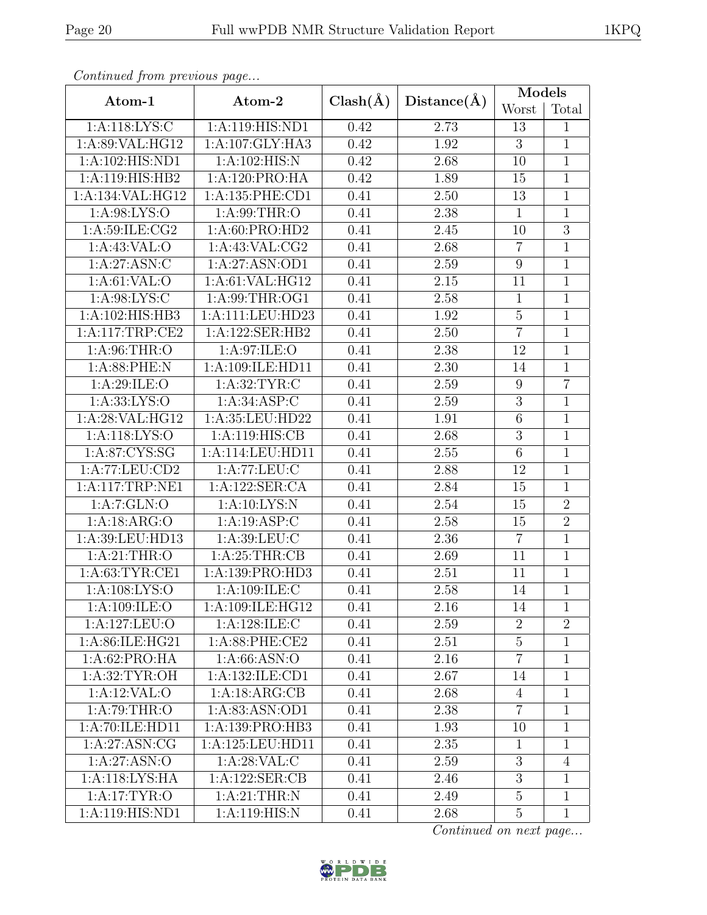|--|

| Continued from previous page |                   |              |             | <b>Models</b>    |                |
|------------------------------|-------------------|--------------|-------------|------------------|----------------|
| Atom-1                       | Atom-2            | $Clash(\AA)$ | Distance(A) | Worst            | Total          |
| 1:A:118:LYS:C                | 1:A:119:HIS:ND1   | 0.42         | 2.73        | 13               | $\mathbf{1}$   |
| 1:A:89:VAL:HG12              | 1:A:107:GLY:HA3   | 0.42         | 1.92        | $\overline{3}$   | $\mathbf{1}$   |
| 1:A:102:HIS:ND1              | 1:A:102:HIS:N     | 0.42         | 2.68        | 10               | $\mathbf{1}$   |
| 1:A:119:HIS:HB2              | 1:A:120:PRO:HA    | 0.42         | 1.89        | 15               | $\overline{1}$ |
| 1:A:134:VAL:HG12             | 1:A:135:PHE:CD1   | 0.41         | 2.50        | 13               | $\mathbf{1}$   |
| 1:A:98:LYS:O                 | 1: A:99:THR:O     | 0.41         | 2.38        | $\mathbf{1}$     | $\mathbf{1}$   |
| 1: A:59: ILE: CG2            | 1:A:60:PRO:HD2    | 0.41         | 2.45        | 10               | $\overline{3}$ |
| $1:A:43:\overline{VAL:O}$    | 1: A:43: VAL: CG2 | 0.41         | 2.68        | $\overline{7}$   | $\mathbf{1}$   |
| 1: A:27: ASN: C              | 1:A:27:ASN:OD1    | 0.41         | 2.59        | $9\,$            | $\mathbf{1}$   |
| 1: A:61:VAL:O                | 1:A:61:VAL:HG12   | 0.41         | 2.15        | 11               | $\mathbf{1}$   |
| 1: A:98: LYS: C              | 1:A:99:THR:OG1    | 0.41         | 2.58        | $\mathbf{1}$     | $\mathbf{1}$   |
| 1:A:102:HIS:HB3              | 1:A:111:LEU:HD23  | 0.41         | 1.92        | $\overline{5}$   | $\mathbf{1}$   |
| 1:A:117:TRP:CE2              | 1:A:122:SER:HB2   | 0.41         | $2.50\,$    | $\overline{7}$   | $\mathbf{1}$   |
| 1: A:96:THR:O                | 1:A:97:ILE:O      | 0.41         | 2.38        | 12               | $\mathbf{1}$   |
| 1:A:88:PHE:N                 | 1:A:109:ILE:HD11  | 0.41         | 2.30        | 14               | $\mathbf{1}$   |
| 1:A:29:ILE:O                 | 1: A:32: TYR: C   | 0.41         | 2.59        | $\boldsymbol{9}$ | $\overline{7}$ |
| 1: A: 33: LYS: O             | 1: A:34: ASP:C    | 0.41         | 2.59        | 3                | $\mathbf{1}$   |
| 1:A:28:VAL:HG12              | 1:A:35:LEU:HD22   | 0.41         | 1.91        | $\overline{6}$   | $\mathbf{1}$   |
| 1:A:118:LYS:O                | 1:A:119:HIS:CB    | 0.41         | 2.68        | $\boldsymbol{3}$ | $\mathbf{1}$   |
| 1: A:87: CYS:SG              | 1:A:114:LEU:HD11  | 0.41         | 2.55        | $\,6$            | $\mathbf 1$    |
| 1:A:77:LEU:CD2               | 1:A:77:LEU:C      | 0.41         | 2.88        | 12               | $\mathbf{1}$   |
| 1:A:117:TRP:NE1              | 1:A:122:SER:CA    | 0.41         | 2.84        | 15               | $\mathbf{1}$   |
| 1:A:7:GLN:O                  | 1: A:10:LYS:N     | 0.41         | 2.54        | 15               | $\overline{2}$ |
| 1:A:18:ARG:O                 | 1:A:19:ASP:C      | 0.41         | 2.58        | 15               | $\overline{2}$ |
| 1:A:39:LEU:HD13              | 1:A:39:LEU:C      | 0.41         | 2.36        | $\overline{7}$   | $\mathbf{1}$   |
| 1: A:21:THR:O                | 1:A:25:THR:CB     | 0.41         | 2.69        | 11               | $\mathbf{1}$   |
| 1: A:63:TYR:CE1              | 1:A:139:PRO:HD3   | 0.41         | 2.51        | 11               | $\mathbf{1}$   |
| 1:A:108:LYS:O                | 1:A:109:ILE:C     | 0.41         | 2.58        | 14               | $\mathbf{1}$   |
| 1: A:109: ILE:O              | 1:A:109:ILE:HG12  | 0.41         | 2.16        | 14               | $\mathbf{1}$   |
| 1:A:127:LEU:O                | 1:A:128:ILE:C     | 0.41         | 2.59        | $\overline{2}$   | $\overline{2}$ |
| 1:A:86:ILE:HG21              | 1:A:88:PHE:CE2    | 0.41         | 2.51        | $\overline{5}$   | $\mathbf{1}$   |
| 1:A:62:PRO:HA                | 1: A:66: ASN:O    | 0.41         | 2.16        | $\overline{7}$   | $\mathbf{1}$   |
| 1: A:32:TYR:OH               | 1:A:132:ILE:CD1   | 0.41         | 2.67        | 14               | $\overline{1}$ |
| 1:A:12:VAL:O                 | 1:A:18:ARG:CB     | 0.41         | 2.68        | 4                | $\mathbf 1$    |
| 1: A:79:THR:O                | 1:A:83:ASN:OD1    | 0.41         | 2.38        | $\overline{7}$   | $\mathbf{1}$   |
| 1:A:70:ILE:HD11              | 1:A:139:PRO:HB3   | 0.41         | 1.93        | 10               | $\mathbf{1}$   |
| 1:A:27:ASN:CG                | 1:A:125:LEU:HD11  | 0.41         | 2.35        | $\mathbf{1}$     | $\mathbf{1}$   |
| 1:A:27:ASN:O                 | 1: A:28:VAL:CC    | 0.41         | 2.59        | 3                | $\overline{4}$ |
| 1:A:118:LYS:HA               | 1:A:122:SER:CB    | 0.41         | 2.46        | 3                | $\mathbf{1}$   |
| 1: A:17: TYR:O               | 1: A:21:THR:N     | 0.41         | 2.49        | $\mathbf 5$      | $\mathbf{1}$   |
| 1:A:119:HIS:ND1              | 1:A:119:HIS:N     | 0.41         | 2.68        | $\overline{5}$   | $\mathbf{1}$   |

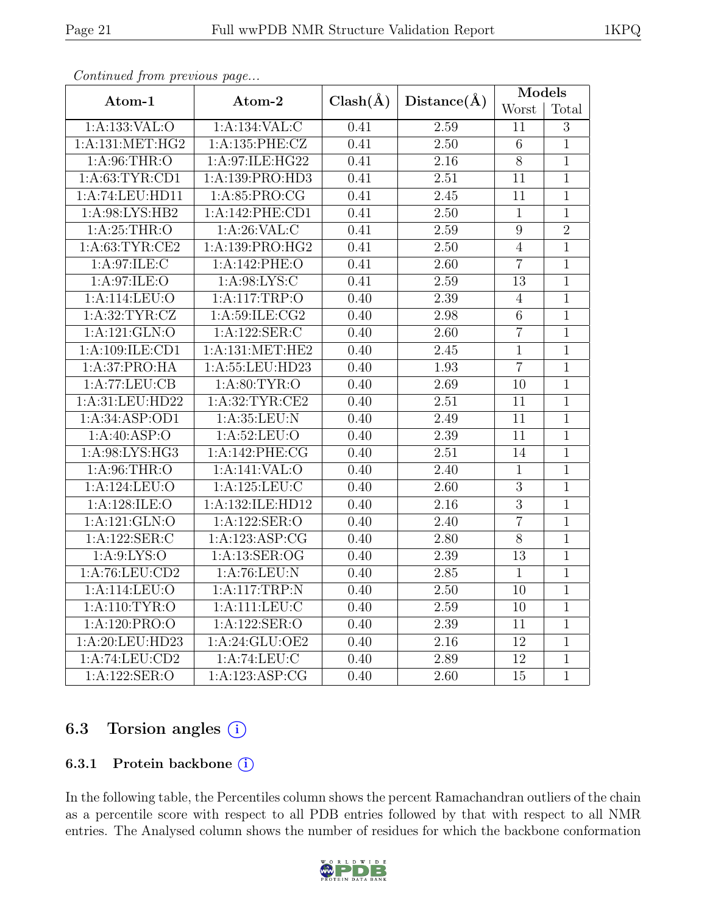|--|

| onderdou ji ome produo pugom      |                     |              |                   | <b>Models</b>   |                |
|-----------------------------------|---------------------|--------------|-------------------|-----------------|----------------|
| Atom-1                            | Atom-2              | $Clash(\AA)$ | $Distance(\AA)$   | Worst           | Total          |
| 1:A:133:VAL:O                     | 1:A:134:VAL:C       | 0.41         | 2.59              | 11              | 3              |
| 1:A:131:MET:HG2                   | 1:A:135:PHE:CZ      | 0.41         | 2.50              | $6\,$           | $\overline{1}$ |
| 1: A:96:THR:O                     | 1:A:97:ILE:HG22     | 0.41         | 2.16              | $8\,$           | $\mathbf{1}$   |
| 1: A:63:TYR:CD1                   | 1:A:139:PRO:HD3     | 0.41         | 2.51              | 11              | $\mathbf{1}$   |
| 1:A:74:LEU:HD11                   | 1: A:85: PRO:CG     | 0.41         | 2.45              | 11              | $\mathbf 1$    |
| 1: A:98: LYS: HB2                 | 1:A:142:PHE:CD1     | 0.41         | $\overline{2.50}$ | $\overline{1}$  | $\overline{1}$ |
| 1: A:25:THR:O                     | 1: A:26: VAL:C      | 0.41         | 2.59              | 9               | $\overline{2}$ |
| 1: A:63:TYR:CE2                   | 1:A:139:PRO:HG2     | 0.41         | 2.50              | $\overline{4}$  | $\overline{1}$ |
| 1: A:97: ILE:C                    | 1:A:142:PHE:O       | 0.41         | $\overline{2.60}$ | $\overline{7}$  | $\mathbf{1}$   |
| 1: A:97: ILE: O                   | 1: A:98: LYS: C     | 0.41         | 2.59              | 13              | $\overline{1}$ |
| 1:A:114:LEU:O                     | 1:A:117:TRP:O       | 0.40         | 2.39              | $\sqrt{4}$      | $\overline{1}$ |
| 1: A:32:TYR:CZ                    | 1: A:59: ILE: CG2   | 0.40         | 2.98              | $\overline{6}$  | $\overline{1}$ |
| 1: A: 121: GLN: O                 | 1:A:122:SER:C       | 0.40         | 2.60              | $\overline{7}$  | $\mathbf{1}$   |
| 1:A:109:ILE:CD1                   | 1: A: 131: MET: HE2 | 0.40         | 2.45              | $\overline{1}$  | $\mathbf{1}$   |
| 1:A:37:PRO:HA                     | 1:A:55:LEU:HD23     | 0.40         | 1.93              | $\overline{7}$  | $\overline{1}$ |
| 1:A:77:LEU:CB                     | 1: A:80: TYR:O      | 0.40         | 2.69              | 10              | $\overline{1}$ |
| 1:A:31:LEU:HD22                   | 1: A:32:TYR:CE2     | 0.40         | $2.51\,$          | 11              | $\mathbf{1}$   |
| 1:A:34:ASP:OD1                    | 1: A:35:LEU: N      | 0.40         | 2.49              | 11              | $\overline{1}$ |
| 1:A:40:ASP:O                      | 1: A:52:LEU:O       | 0.40         | 2.39              | 11              | $\overline{1}$ |
| 1:A:98:LYS:HG3                    | 1:A:142:PHE:CG      | 0.40         | 2.51              | 14              | $\mathbf{1}$   |
| 1: A:96:THR:O                     | 1:A:141:VAL:O       | 0.40         | 2.40              | $\mathbf{1}$    | $\mathbf{1}$   |
| 1:A:124:LEU:O                     | 1:A:125:LEU:C       | 0.40         | 2.60              | $\overline{3}$  | $\mathbf{1}$   |
| 1:A:128:ILE:O                     | 1:A:132:ILE:HD12    | 0.40         | 2.16              | $\overline{3}$  | $\overline{1}$ |
| 1:A:121:GLN:O                     | 1:A:122:SER:O       | 0.40         | 2.40              | $\overline{7}$  | $\overline{1}$ |
| 1:A:122:SER:C                     | 1:A:123:ASP:CG      | 0.40         | 2.80              | $\overline{8}$  | $\mathbf{1}$   |
| 1: A:9: LYS:O                     | 1:A:13:SER:OG       | 0.40         | $2.39\,$          | 13              | $\mathbf{1}$   |
| 1:A:76:LEU:CD2                    | 1: A:76:LEU: N      | 0.40         | 2.85              | $\mathbf{1}$    | $\mathbf{1}$   |
| $1:A:114:\overline{\text{LEU:O}}$ | 1:A:117:TRP:N       | 0.40         | 2.50              | 10              | $\mathbf{1}$   |
| 1:A:110:TYR:O                     | 1:A:111:LEU:C       | 0.40         | $2.59\,$          | 10              | $\mathbf{1}$   |
| 1:A:120:PRO:O                     | 1:A:122:SER:O       | 0.40         | 2.39              | 11              | $\mathbf 1$    |
| 1:A:20:LEU:HD23                   | 1:A:24:GLU:OE2      | 0.40         | 2.16              | 12              | $\overline{1}$ |
| 1:A:74:LEU:CD2                    | 1:A:74:LEU:C        | 0.40         | 2.89              | 12              | $\mathbf{1}$   |
| 1:A:122:SER:O                     | 1:A:123:ASP:CG      | 0.40         | $\overline{2.60}$ | $\overline{15}$ | $\overline{1}$ |

## 6.3 Torsion angles  $(i)$

#### 6.3.1 Protein backbone  $(i)$

In the following table, the Percentiles column shows the percent Ramachandran outliers of the chain as a percentile score with respect to all PDB entries followed by that with respect to all NMR entries. The Analysed column shows the number of residues for which the backbone conformation

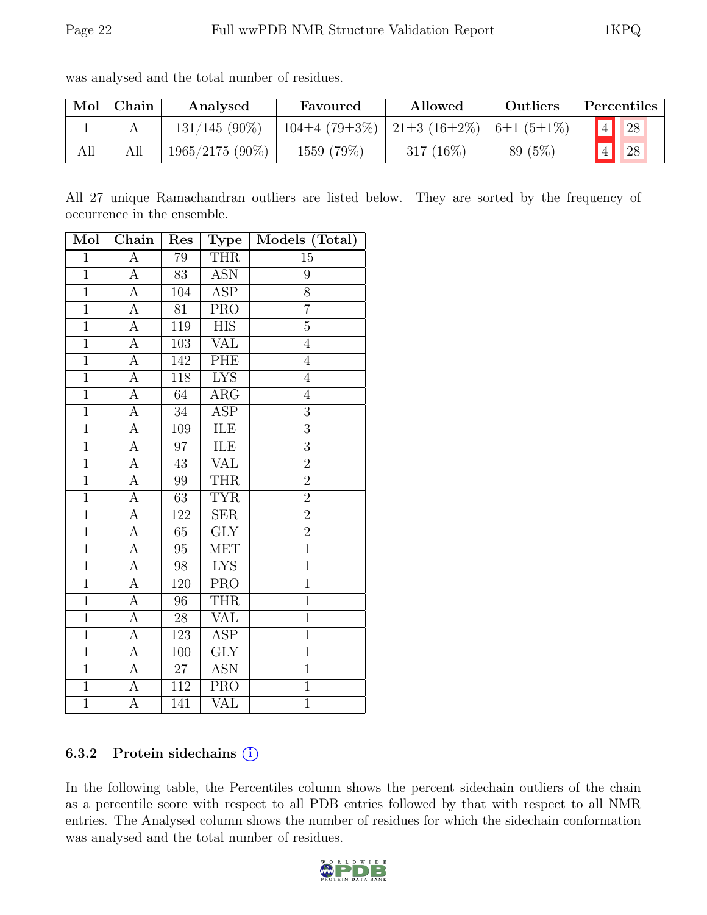| Mol | Chain | Analysed          | Favoured            | Allowed                   | <b>Outliers</b> | Percentiles    |
|-----|-------|-------------------|---------------------|---------------------------|-----------------|----------------|
|     |       | $131/145(90\%)$   | $104\pm4(79\pm3\%)$ | 21±3 (16±2%)   6±1 (5±1%) |                 | $4\vert$<br>28 |
| All | All   | $1965/2175(90\%)$ | 1559 (79%)          | 317 $(16\%)$              | 89(5%)          | 28             |

was analysed and the total number of residues.

All 27 unique Ramachandran outliers are listed below. They are sorted by the frequency of occurrence in the ensemble.

| Mol            | Chain              | Res              | <b>Type</b>             | Models (Total) |
|----------------|--------------------|------------------|-------------------------|----------------|
| $\mathbf{1}$   | $\overline{A}$     | 79               | <b>THR</b>              | $15\,$         |
| $\mathbf{1}$   | А                  | 83               | <b>ASN</b>              | 9              |
| $\overline{1}$ | А                  | 104              | <b>ASP</b>              | $\overline{8}$ |
| $\mathbf{1}$   | A                  | 81               | <b>PRO</b>              | $\overline{7}$ |
| $\overline{1}$ | А                  | 119              | <b>HIS</b>              | $\overline{5}$ |
| $\overline{1}$ | $\overline{A}$     | 103              | <b>VAL</b>              | $\overline{4}$ |
| $\overline{1}$ | $\overline{A}$     | $\overline{142}$ | PHE                     | $\overline{4}$ |
| $\overline{1}$ | A                  | 118              | $\overline{\text{LYS}}$ | $\overline{4}$ |
| $\overline{1}$ | $\overline{A}$     | 64               | ARG                     | $\,4\,$        |
| $\overline{1}$ | $\overline{A}$     | $34\,$           | <b>ASP</b>              | $\overline{3}$ |
| $\overline{1}$ | A                  | 109              | ILE                     | $\overline{3}$ |
| $\overline{1}$ | $\overline{A}$     | 97               | ILE                     | $\overline{3}$ |
| $\overline{1}$ | $\overline{A}$     | 43               | <b>VAL</b>              | $\overline{2}$ |
| $\overline{1}$ | A                  | 99               | <b>THR</b>              | $\overline{2}$ |
| $\overline{1}$ | $\overline{A}$     | $\overline{63}$  | <b>TYR</b>              | $\overline{2}$ |
| $\overline{1}$ | $\overline{A}$     | 122              | <b>SER</b>              | $\overline{2}$ |
| $\overline{1}$ | $\overline{A}$     | $\overline{65}$  | $\overline{\text{GLY}}$ | $\overline{2}$ |
| $\mathbf{1}$   | $\overline{A}$     | $95\,$           | <b>MET</b>              | $\overline{1}$ |
| $\overline{1}$ | $\overline{A}$     | 98               | <b>LYS</b>              | $\overline{1}$ |
| $\overline{1}$ | $\overline{A}$     | $\overline{120}$ | $\overline{\text{PRO}}$ | $\overline{1}$ |
| $\overline{1}$ | А                  | 96               | <b>THR</b>              | $\mathbf{1}$   |
| $\mathbf{1}$   | $\overline{A}$     | 28               | <b>VAL</b>              | $\mathbf{1}$   |
| $\overline{1}$ | $\overline{A}$     | 123              | $\overline{\text{ASP}}$ | $\overline{1}$ |
| $\overline{1}$ | А                  | 100              | $\overline{G}IY$        | $\mathbf{1}$   |
| $\overline{1}$ | $\overline{A}$     | $\overline{27}$  | <b>ASN</b>              | $\overline{1}$ |
| $\mathbf{1}$   | $\overline{A}$     | 112              | <b>PRO</b>              | $\mathbf{1}$   |
| $\overline{1}$ | $\overline{\rm A}$ | $\overline{141}$ | $\overline{\text{VAL}}$ | $\overline{1}$ |

#### 6.3.2 Protein sidechains (i)

In the following table, the Percentiles column shows the percent sidechain outliers of the chain as a percentile score with respect to all PDB entries followed by that with respect to all NMR entries. The Analysed column shows the number of residues for which the sidechain conformation was analysed and the total number of residues.

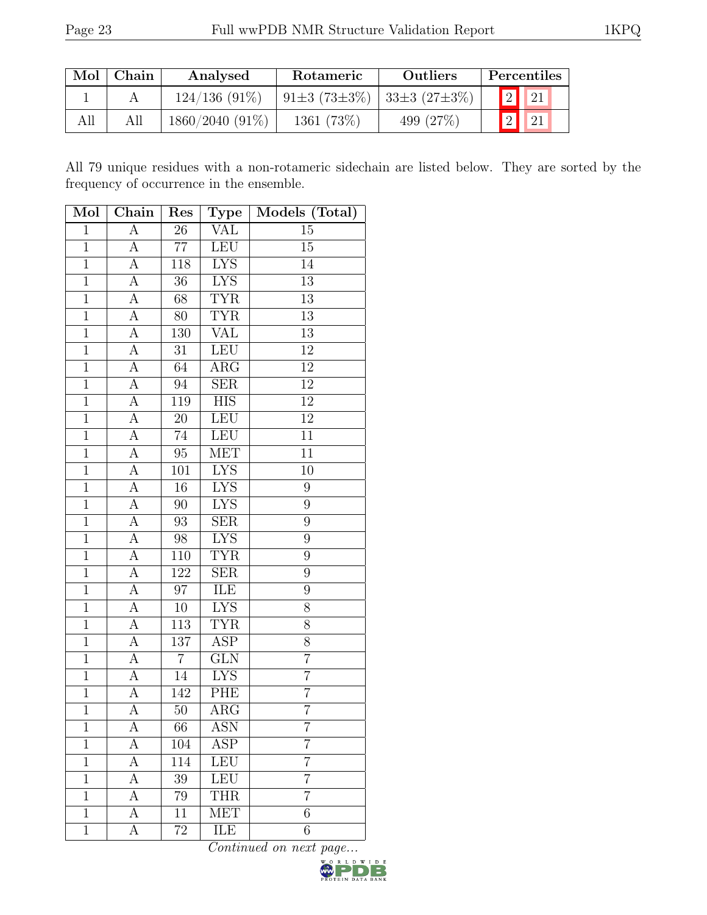|     | Mol   Chain | Analysed          | Rotameric                   | Outliers    | Percentiles |
|-----|-------------|-------------------|-----------------------------|-------------|-------------|
|     |             | $124/136(91\%)$   | 91±3 (73±3%)   33±3 (27±3%) |             | 2 21        |
| All |             | $1860/2040(91\%)$ | 1361 (73\%)                 | 499 $(27%)$ | 2 21        |

All 79 unique residues with a non-rotameric sidechain are listed below. They are sorted by the frequency of occurrence in the ensemble.

| Mol            | Chain              | Res             | Type                    | Models (Total)   |
|----------------|--------------------|-----------------|-------------------------|------------------|
| $\overline{1}$ | $\overline{\rm A}$ | $\overline{26}$ | VAL                     | $15\,$           |
| $\mathbf{1}$   | А                  | 77              | <b>LEU</b>              | 15               |
| $\overline{1}$ | A                  | 118             | <b>LYS</b>              | 14               |
| $\overline{1}$ | А                  | $36\,$          | <b>LYS</b>              | $\overline{13}$  |
| $\overline{1}$ | A                  | 68              | <b>TYR</b>              | 13               |
| $\overline{1}$ | А                  | 80              | <b>TYR</b>              | $\overline{13}$  |
| $\overline{1}$ | А                  | 130             | <b>VAL</b>              | 13               |
| $\overline{1}$ | А                  | 31              | LEU                     | 12               |
| $\overline{1}$ | $\overline{A}$     | $\overline{64}$ | $\overline{\rm{ARG}}$   | 12               |
| $\mathbf{1}$   | А                  | 94              | ${\rm SER}$             | $\overline{12}$  |
| $\overline{1}$ | $\overline{A}$     | 119             | $\overline{HIS}$        | $\overline{12}$  |
| $\mathbf 1$    | A                  | $20\,$          | <b>LEU</b>              | $\overline{12}$  |
| $\overline{1}$ | $\overline{\rm A}$ | 74              | <b>LEU</b>              | $\overline{11}$  |
| $\overline{1}$ | $\overline{A}$     | 95              | <b>MET</b>              | $\overline{11}$  |
| $\mathbf{1}$   | A                  | 101             | ${\rm LYS}$             | 10               |
| $\overline{1}$ | $\overline{A}$     | 16              | <b>LYS</b>              | $\overline{9}$   |
| $\mathbf{1}$   | $\overline{A}$     | 90              | <b>LYS</b>              | 9                |
| $\overline{1}$ | $\overline{\rm A}$ | $\overline{93}$ | $\overline{\text{SER}}$ | $\overline{9}$   |
| $\mathbf 1$    | $\boldsymbol{A}$   | $98\,$          | <b>LYS</b>              | $\boldsymbol{9}$ |
| $\mathbf{1}$   | A                  | 110             | <b>TYR</b>              | 9                |
| $\overline{1}$ | $\overline{A}$     | 122             | $\overline{\text{SER}}$ | 9                |
| $\overline{1}$ | A                  | 97              | ILE                     | $\overline{9}$   |
| $\overline{1}$ | $\overline{A}$     | $\overline{10}$ | <b>LYS</b>              | $\overline{8}$   |
| $\overline{1}$ | А                  | 113             | <b>TYR</b>              | 8                |
| $\mathbf 1$    | A                  | 137             | ASP                     | 8                |
| $\overline{1}$ | А                  | $\overline{7}$  | <b>GLN</b>              | $\overline{7}$   |
| $\overline{1}$ | А                  | 14              | <b>LYS</b>              | $\overline{7}$   |
| $\overline{1}$ | А                  | 142             | PHE                     | $\overline{7}$   |
| $\mathbf{1}$   | А                  | 50              | $\rm{ARG}$              | $\overline{7}$   |
| 1              | А                  | 66              | ASN                     | 7                |
| $\mathbf 1$    | А                  | 104             | ASP                     | 7                |
| 1              | А                  | 114             | <b>LEU</b>              | $\overline{7}$   |
| $\overline{1}$ | А                  | 39              | LEU                     | $\overline{7}$   |
| $\mathbf{1}$   | А                  | 79              | <b>THR</b>              | 7                |
| $\mathbf{1}$   | А                  | 11              | <b>MET</b>              | 6                |
| $\mathbf{1}$   | А                  | 72              | ILE                     | 6                |

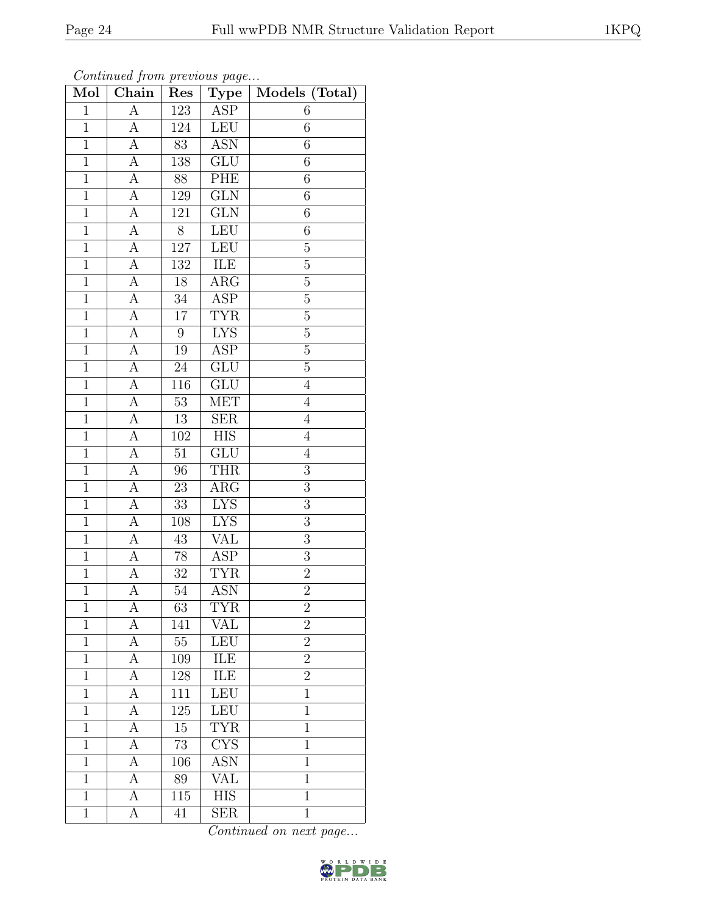| Mol            | Chain              | Res              | ${\bf Type}$            | Models (Total)  |
|----------------|--------------------|------------------|-------------------------|-----------------|
| $\mathbf 1$    | $\boldsymbol{A}$   | 123              | ASP                     | 6               |
| $\mathbf{1}$   | А                  | 124              | LEU                     | $6\phantom{.}6$ |
| $\overline{1}$ | А                  | $\overline{83}$  | <b>ASN</b>              | 6               |
| $\mathbf{1}$   | $\boldsymbol{A}$   | 138              | $\overline{\text{GLU}}$ | 6               |
| $\overline{1}$ | $\overline{A}$     | $\overline{88}$  | PHE                     | $\overline{6}$  |
| $\mathbf{1}$   | А                  | 129              | $\overline{\text{GLN}}$ | 6               |
| $\mathbf 1$    | $\overline{\rm A}$ | $121\,$          | GLN                     | 6               |
| $\mathbf{1}$   | $\overline{A}$     | 8                | LEU                     | 6               |
| $\overline{1}$ | $\overline{A}$     | 127              | LEU                     | $\overline{5}$  |
| $\overline{1}$ | $\overline{A}$     | 132              | ILE                     | $\overline{5}$  |
| $\mathbf{1}$   | А                  | 18               | $\rm{ARG}$              | $\overline{5}$  |
| $\mathbf{1}$   | $\boldsymbol{A}$   | 34               | $\overline{\text{ASP}}$ | $\overline{5}$  |
| $\mathbf{1}$   | А                  | $17\,$           | <b>TYR</b>              | $\overline{5}$  |
| $\overline{1}$ | $\boldsymbol{A}$   | $\boldsymbol{9}$ | <b>LYS</b>              | $\overline{5}$  |
| $\overline{1}$ | А                  | 19               | $\overline{\text{ASP}}$ | $\overline{5}$  |
| $\mathbf{1}$   | $\boldsymbol{A}$   | $24\,$           | GLU                     | $\overline{5}$  |
| $\mathbf{1}$   | А                  | $116\,$          | $\overline{\text{GLU}}$ | $\overline{4}$  |
| $\mathbf{1}$   | А                  | $53\,$           | MET                     | $\overline{4}$  |
| $\overline{1}$ | А                  | 13               | <b>SER</b>              | $\overline{4}$  |
| $\mathbf{1}$   | А                  | 102              | $\overline{HIS}$        | $\overline{4}$  |
| $\mathbf{1}$   | А                  | 51               | GLU                     | $\overline{4}$  |
| $\overline{1}$ | $\overline{A}$     | $\overline{96}$  | <b>THR</b>              | $\overline{3}$  |
| $\mathbf{1}$   | $\boldsymbol{A}$   | 23               | ARG                     | 3               |
| $\overline{1}$ | $\overline{\rm A}$ | $\overline{33}$  | <b>LYS</b>              | $\overline{3}$  |
| $\mathbf{1}$   | $\overline{A}$     | 108              | <b>LYS</b>              | 3               |
| $\mathbf{1}$   | А                  | $43\,$           | VAL                     | 3               |
| $\mathbf{1}$   | $\overline{A}$     | 78               | $\overline{\text{ASP}}$ | 3               |
| $\mathbf 1$    | A                  | $32\,$           | <b>TYR</b>              | $\overline{2}$  |
| $\overline{1}$ | $\overline{\rm A}$ | 54               | <b>ASN</b>              | $\overline{2}$  |
| $\mathbf 1$    | А                  | 63               | TYR                     | $\overline{2}$  |
| $\mathbf 1$    | А                  | 141              | <b>VAL</b>              | $\overline{2}$  |
| $\mathbf{1}$   | A                  | $55\,$           | LEU                     | $\overline{2}$  |
| $\mathbf{1}$   | A                  | 109              | ILE                     | $\overline{2}$  |
| $\overline{1}$ | А                  | 128              | <b>ILE</b>              | $\overline{2}$  |
| $\mathbf 1$    | A                  | 111              | LEU                     | $\mathbf{1}$    |
| $\mathbf{1}$   | A                  | 125              | LEU                     | $\mathbf 1$     |
| $\mathbf{1}$   | А                  | 15               | <b>TYR</b>              | $\mathbf{1}$    |
| $\mathbf{1}$   | А                  | 73               | $\overline{\text{CYS}}$ | $\mathbf{1}$    |
| $\mathbf{1}$   | А                  | 106              | <b>ASN</b>              | $\mathbf 1$     |
| $\mathbf 1$    | А                  | 89               | VAL                     | $\mathbf{1}$    |
| $\mathbf{1}$   | А                  | $\overline{115}$ | <b>HIS</b>              | $\mathbf{1}$    |
| $\mathbf{1}$   | А                  | 41               | SER                     | $\mathbf{1}$    |

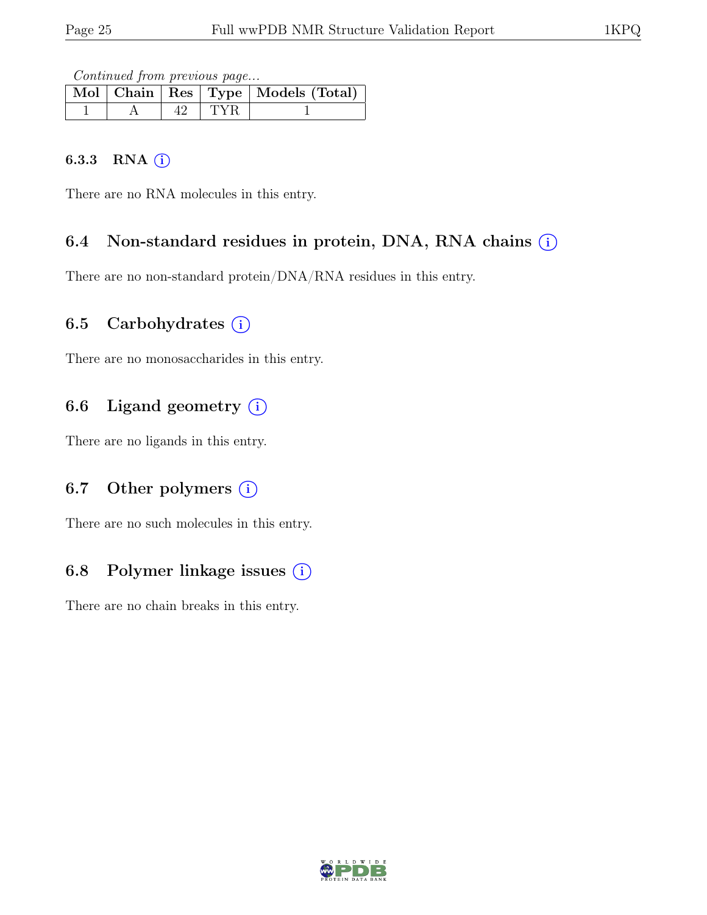Continued from previous page...

|  |       | Mol Chain Res Type   Models (Total) |
|--|-------|-------------------------------------|
|  | l TYR |                                     |

#### 6.3.3 RNA  $(i)$

There are no RNA molecules in this entry.

### 6.4 Non-standard residues in protein, DNA, RNA chains  $(i)$

There are no non-standard protein/DNA/RNA residues in this entry.

### 6.5 Carbohydrates  $(i)$

There are no monosaccharides in this entry.

## 6.6 Ligand geometry  $(i)$

There are no ligands in this entry.

## 6.7 Other polymers  $(i)$

There are no such molecules in this entry.

## 6.8 Polymer linkage issues  $(i)$

There are no chain breaks in this entry.